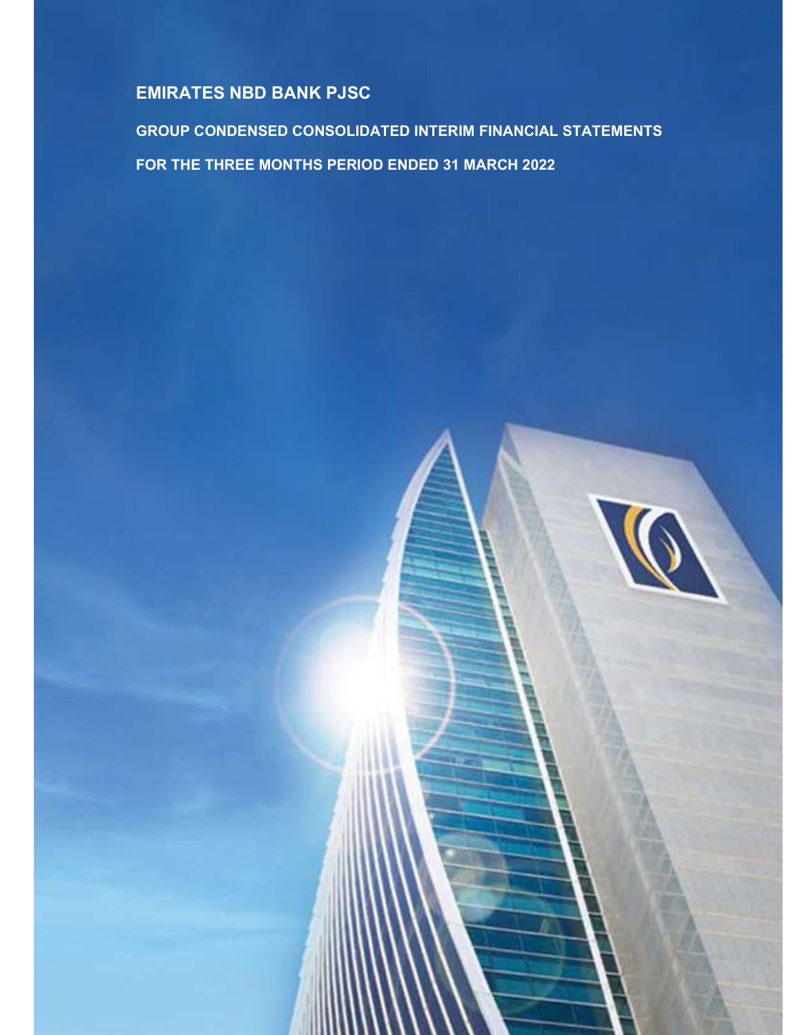GROUP CONDENSED CONSOLIDATED INTERIM FINANCIAL STATEMENTS FOR THE THREE MONTHS PERIOD ENDED 31 MARCH 2022

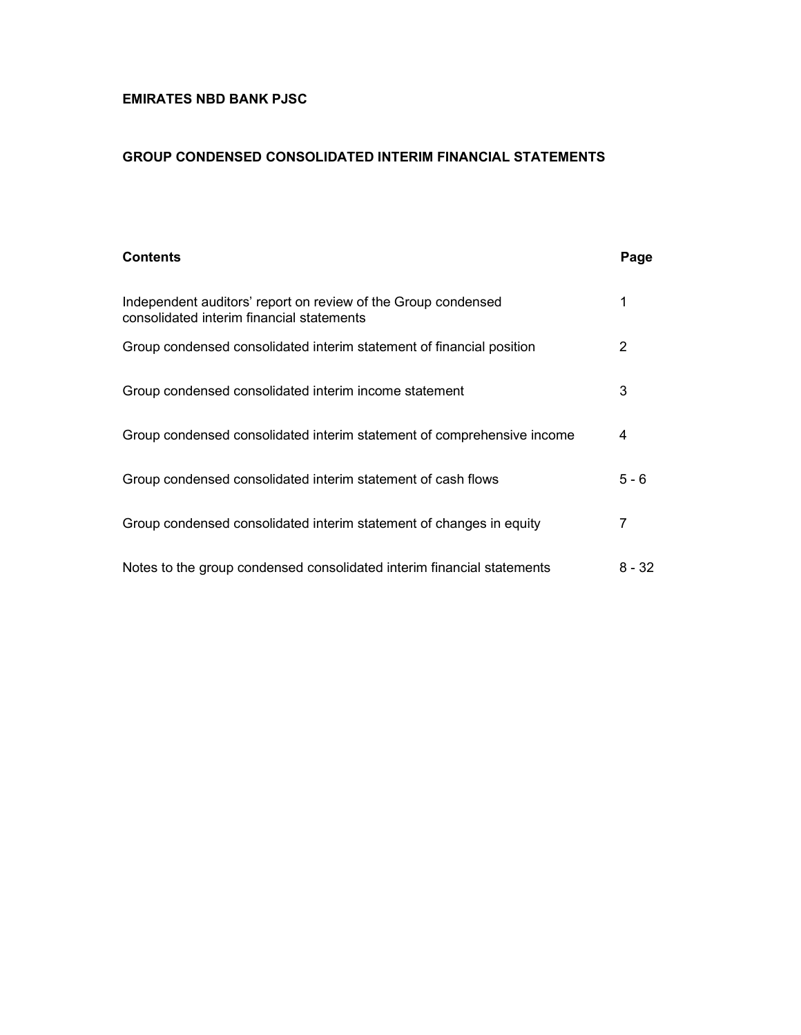#### GROUP CONDENSED CONSOLIDATED INTERIM FINANCIAL STATEMENTS

| <b>Contents</b>                                                                                            | Page    |
|------------------------------------------------------------------------------------------------------------|---------|
| Independent auditors' report on review of the Group condensed<br>consolidated interim financial statements | 1       |
| Group condensed consolidated interim statement of financial position                                       | 2       |
| Group condensed consolidated interim income statement                                                      | 3       |
| Group condensed consolidated interim statement of comprehensive income                                     | 4       |
| Group condensed consolidated interim statement of cash flows                                               | $5 - 6$ |
| Group condensed consolidated interim statement of changes in equity                                        | 7       |
| Notes to the group condensed consolidated interim financial statements                                     | 8 - 32  |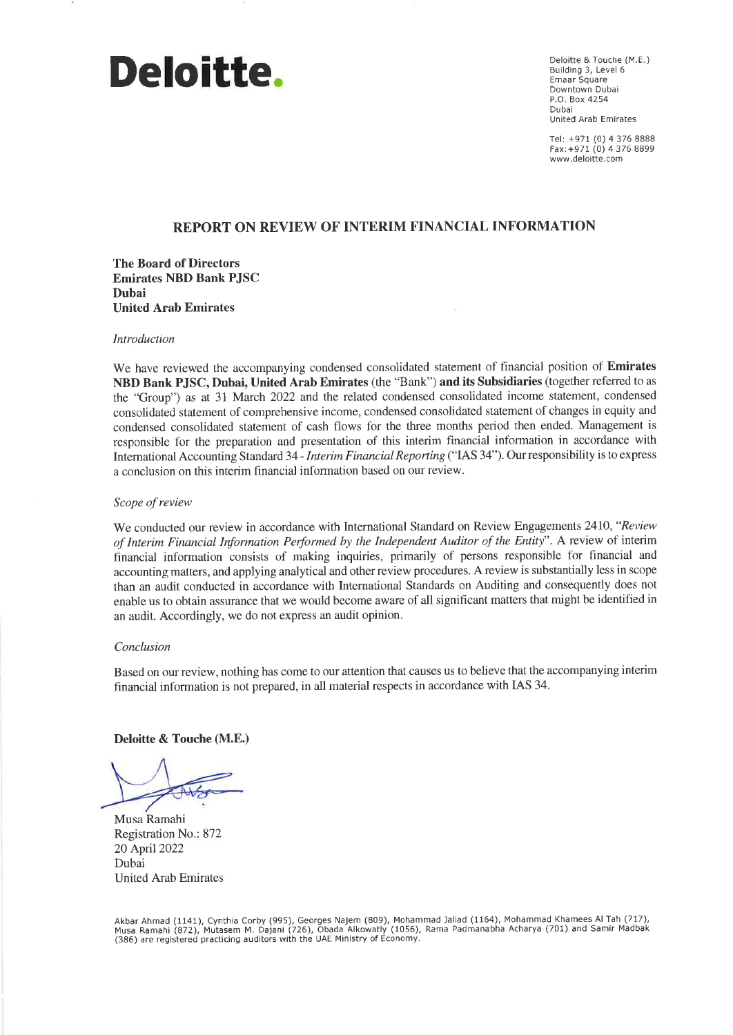# Deloitte.

Deloitte & Touche (M.E.) Building 3, Level 6 Emaar Square Downtown Dubai P.O. Box 4254 Dubai United Arab Emirates

Tel: +971 (0) 4 376 8888 Fax: +971 (0) 4 376 8899 www.deloitte.com

#### **REPORT ON REVIEW OF INTERIM FINANCIAL INFORMATION**

**The Board of Directors Emirates NBD Bank PJSC** Dubai **United Arab Emirates** 

#### Introduction

We have reviewed the accompanying condensed consolidated statement of financial position of Emirates NBD Bank PJSC, Dubai, United Arab Emirates (the "Bank") and its Subsidiaries (together referred to as the "Group") as at 31 March 2022 and the related condensed consolidated income statement, condensed consolidated statement of comprehensive income, condensed consolidated statement of changes in equity and condensed consolidated statement of cash flows for the three months period then ended. Management is responsible for the preparation and presentation of this interim financial information in accordance with International Accounting Standard 34 - Interim Financial Reporting ("IAS 34"). Our responsibility is to express a conclusion on this interim financial information based on our review.

#### Scope of review

We conducted our review in accordance with International Standard on Review Engagements 2410, "Review of Interim Financial Information Performed by the Independent Auditor of the Entity". A review of interim financial information consists of making inquiries, primarily of persons responsible for financial and accounting matters, and applying analytical and other review procedures. A review is substantially less in scope than an audit conducted in accordance with International Standards on Auditing and consequently does not enable us to obtain assurance that we would become aware of all significant matters that might be identified in an audit. Accordingly, we do not express an audit opinion.

#### Conclusion

Based on our review, nothing has come to our attention that causes us to believe that the accompanying interim financial information is not prepared, in all material respects in accordance with IAS 34.

Deloitte & Touche (M.E.)

Musa Ramahi Registration No.: 872 20 April 2022 Dubai **United Arab Emirates** 

Akbar Ahmad (1141), Cynthia Corby (995), Georges Najem (809), Mohammad Jallad (1164), Mohammad Khamees Al Tah (717),<br>Musa Ramahi (872), Mutasem M. Dajani (726), Obada Alkowatly (1056), Rama Padmanabha Acharya (701) and Sam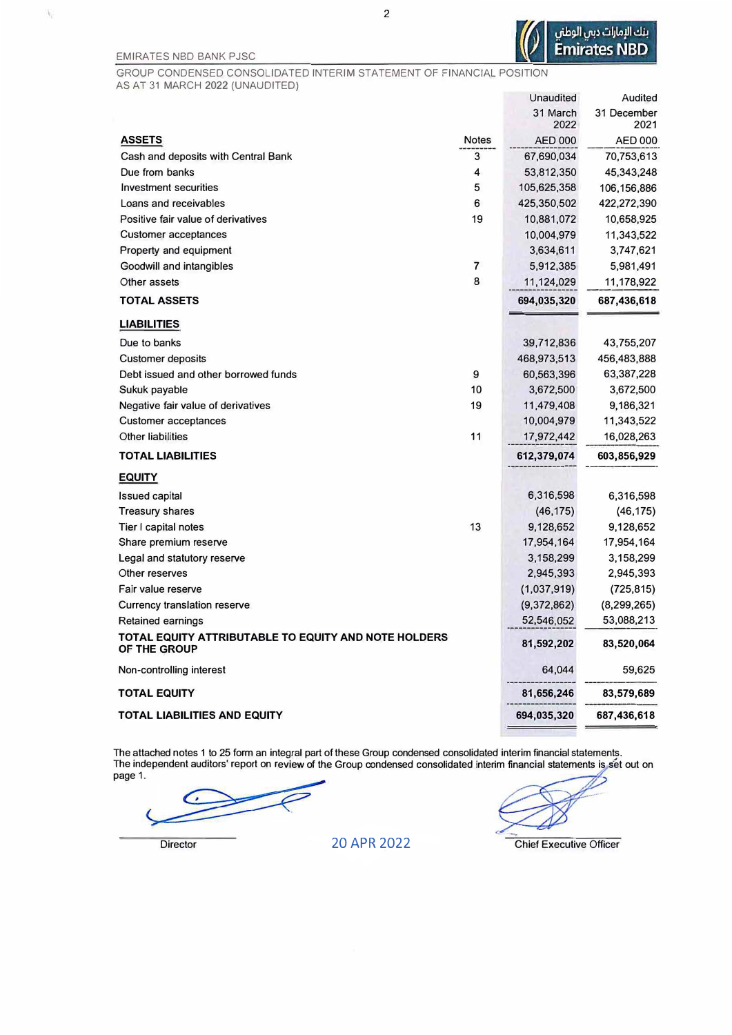V)

GROUP CONDENSED CONSOLIDATED INTERIM STATEMENT OF FINANCIAL POSITION AS AT 31 MARCH 2022 (UNAUDITED)

|                                                                      |              | Unaudited      | Audited        |
|----------------------------------------------------------------------|--------------|----------------|----------------|
|                                                                      |              | 31 March       | 31 December    |
|                                                                      |              | 2022           | 2021           |
| <b>ASSETS</b>                                                        | <b>Notes</b> | <b>AED 000</b> | <b>AED 000</b> |
| Cash and deposits with Central Bank                                  | 3            | 67,690,034     | 70,753,613     |
| Due from banks                                                       | 4            | 53,812,350     | 45,343,248     |
| Investment securities                                                | 5            | 105,625,358    | 106,156,886    |
| Loans and receivables                                                | 6            | 425,350,502    | 422,272,390    |
| Positive fair value of derivatives                                   | 19           | 10,881,072     | 10,658,925     |
| <b>Customer acceptances</b>                                          |              | 10,004,979     | 11,343,522     |
| Property and equipment                                               |              | 3,634,611      | 3,747,621      |
| Goodwill and intangibles                                             | 7            | 5,912,385      | 5,981,491      |
| Other assets                                                         | 8            | 11,124,029     | 11,178,922     |
| <b>TOTAL ASSETS</b>                                                  |              | 694,035,320    | 687,436,618    |
| <b>LIABILITIES</b>                                                   |              |                |                |
| Due to banks                                                         |              | 39,712,836     | 43,755,207     |
| <b>Customer deposits</b>                                             |              | 468,973,513    | 456,483,888    |
| Debt issued and other borrowed funds                                 | 9            | 60,563,396     | 63,387,228     |
| Sukuk payable                                                        | 10           | 3,672,500      | 3,672,500      |
| Negative fair value of derivatives                                   | 19           | 11,479,408     | 9,186,321      |
| <b>Customer acceptances</b>                                          |              | 10,004,979     | 11,343,522     |
| <b>Other liabilities</b>                                             | 11           | 17,972,442     | 16,028,263     |
| <b>TOTAL LIABILITIES</b>                                             |              | 612,379,074    | 603,856,929    |
| <b>EQUITY</b>                                                        |              |                |                |
| <b>Issued capital</b>                                                |              | 6,316,598      | 6,316,598      |
| <b>Treasury shares</b>                                               |              | (46, 175)      | (46, 175)      |
| Tier I capital notes                                                 | 13           | 9,128,652      | 9,128,652      |
| Share premium reserve                                                |              | 17,954,164     | 17,954,164     |
| Legal and statutory reserve                                          |              | 3,158,299      | 3,158,299      |
| Other reserves                                                       |              | 2,945,393      | 2,945,393      |
| Fair value reserve                                                   |              | (1,037,919)    | (725, 815)     |
| Currency translation reserve                                         |              | (9,372,862)    | (8, 299, 265)  |
| <b>Retained earnings</b>                                             |              | 52,546,052     | 53,088,213     |
| TOTAL EQUITY ATTRIBUTABLE TO EQUITY AND NOTE HOLDERS<br>OF THE GROUP |              | 81,592,202     | 83,520,064     |
| Non-controlling interest                                             |              | 64,044         | 59,625         |
| <b>TOTAL EQUITY</b>                                                  |              | 81,656,246     | 83,579,689     |
| <b>TOTAL LIABILITIES AND EQUITY</b>                                  |              | 694,035,320    | 687,436,618    |
|                                                                      |              |                |                |

The attached notes 1 to 25 form an integral part of these Group condensed consolidated interim financial statements.<br>The independent auditors' report on review of the Group condensed consolidated interim financial statemen page 1.

Director 20 APR 2022 Chief Executive Officer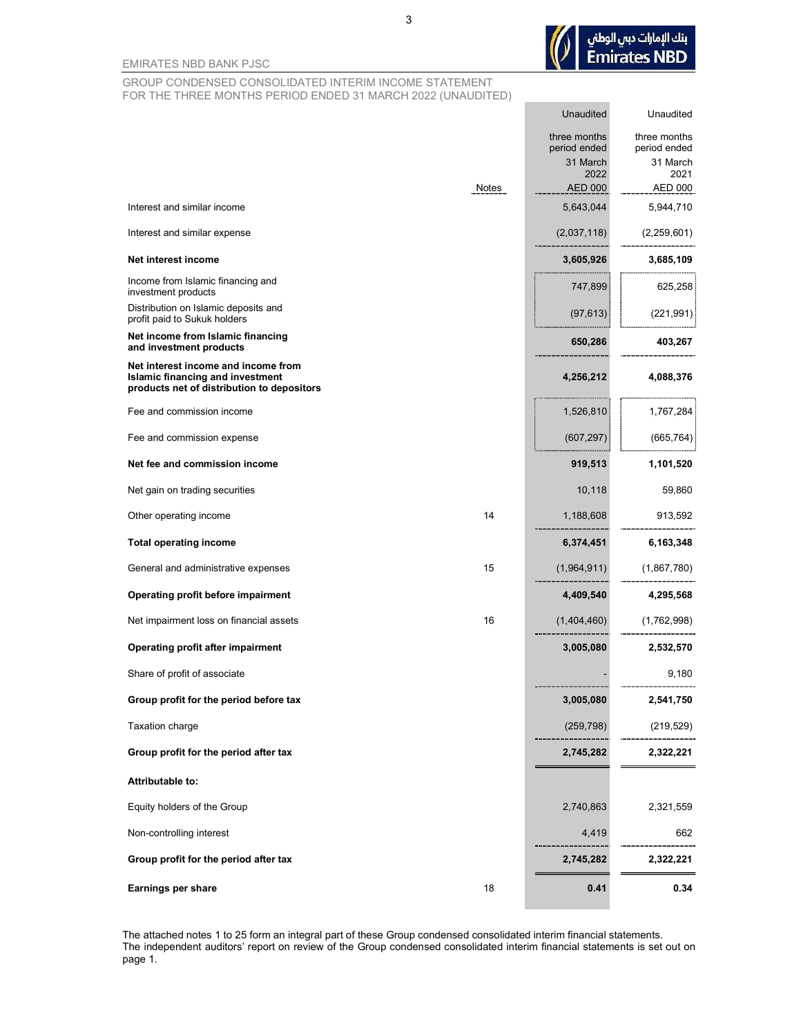

Unaudited

Unaudited

EMIRATES NBD BANK PJSC

#### GROUP CONDENSED CONSOLIDATED INTERIM INCOME STATEMENT FOR THE THREE MONTHS PERIOD ENDED 31 MARCH 2022 (UNAUDITED)

|                                                                                                                              |       | three months<br>period ended | three months<br>period ended |
|------------------------------------------------------------------------------------------------------------------------------|-------|------------------------------|------------------------------|
|                                                                                                                              |       | 31 March<br>2022             | 31 March<br>2021             |
|                                                                                                                              | Notes | AED 000                      | AED 000                      |
| Interest and similar income                                                                                                  |       | 5,643,044                    | 5,944,710                    |
| Interest and similar expense                                                                                                 |       | (2,037,118)                  | (2,259,601)                  |
| Net interest income                                                                                                          |       | 3,605,926                    | 3,685,109                    |
| Income from Islamic financing and<br>investment products                                                                     |       | 747,899                      | 625,258                      |
| Distribution on Islamic deposits and<br>profit paid to Sukuk holders                                                         |       | (97, 613)                    | (221, 991)                   |
| Net income from Islamic financing<br>and investment products                                                                 |       | 650,286                      | 403,267                      |
| Net interest income and income from<br><b>Islamic financing and investment</b><br>products net of distribution to depositors |       |                              | 4,256,212 4,088,376          |
| Fee and commission income                                                                                                    |       | 1,526,810                    | 1,767,284                    |
| Fee and commission expense                                                                                                   |       |                              | $(607,297)$ $(665,764)$      |
| Net fee and commission income                                                                                                |       | 919,513                      | 1,101,520                    |
| Net gain on trading securities                                                                                               |       | 10,118                       | 59,860                       |
| Other operating income                                                                                                       | 14    | 1,188,608                    | 913,592                      |
| <b>Total operating income</b>                                                                                                |       | 6,374,451                    | 6,163,348                    |
| General and administrative expenses                                                                                          | 15    | (1,964,911)                  | (1,867,780)                  |
| Operating profit before impairment                                                                                           |       | 4,409,540                    | 4,295,568                    |
| Net impairment loss on financial assets                                                                                      | 16    | (1,404,460)                  | (1,762,998)                  |
| Operating profit after impairment                                                                                            |       | 3,005,080                    | 2,532,570                    |
| Share of profit of associate                                                                                                 |       |                              | 9,180                        |
| Group profit for the period before tax                                                                                       |       | 3,005,080                    | 2,541,750                    |
| Taxation charge                                                                                                              |       | (259, 798)                   | (219, 529)                   |
| Group profit for the period after tax                                                                                        |       | 2,745,282                    | 2,322,221                    |
| Attributable to:                                                                                                             |       |                              |                              |
| Equity holders of the Group                                                                                                  |       | 2,740,863                    | 2,321,559                    |
| Non-controlling interest                                                                                                     |       | 4,419                        | 662                          |
| Group profit for the period after tax                                                                                        |       | 2,745,282                    | 2,322,221                    |
| Earnings per share                                                                                                           | 18    | 0.41                         | 0.34                         |

The attached notes 1 to 25 form an integral part of these Group condensed consolidated interim financial statements. The independent auditors' report on review of the Group condensed consolidated interim financial statements is set out on page 1.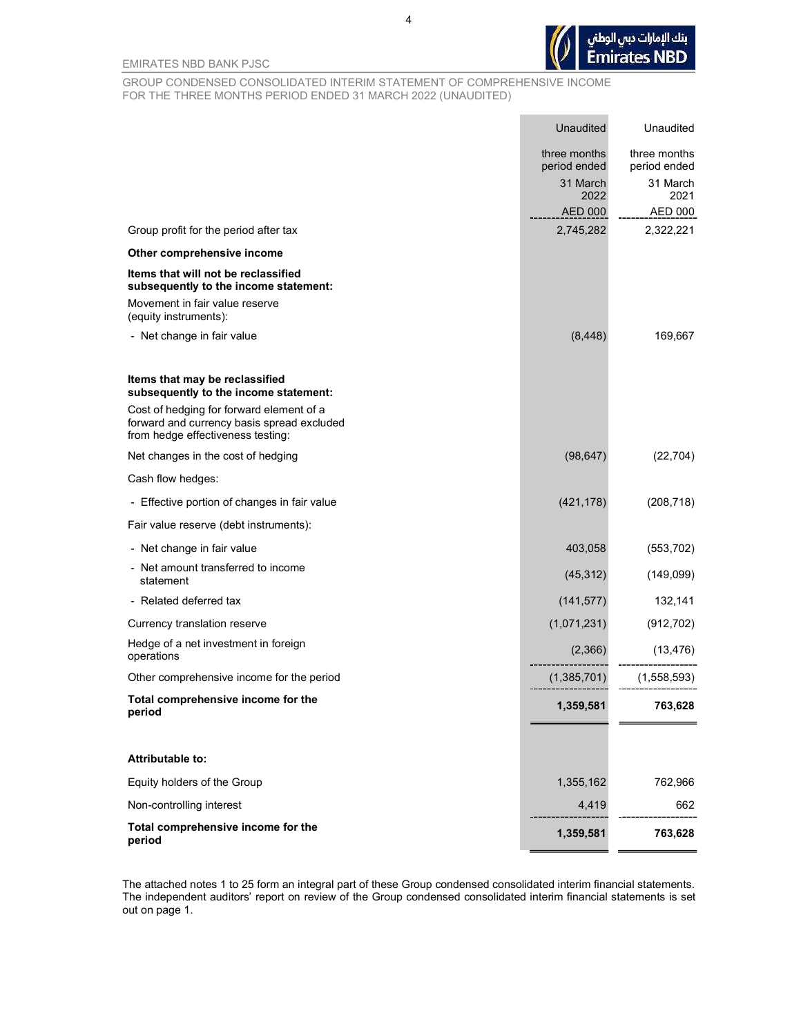

EMIRATES NBD BANK PJSC

GROUP CONDENSED CONSOLIDATED INTERIM STATEMENT OF COMPREHENSIVE INCOME FOR THE THREE MONTHS PERIOD ENDED 31 MARCH 2022 (UNAUDITED)

|                                                                                                                             | <b>Unaudited</b>             | Unaudited                    |
|-----------------------------------------------------------------------------------------------------------------------------|------------------------------|------------------------------|
|                                                                                                                             | three months<br>period ended | three months<br>period ended |
|                                                                                                                             | 31 March<br>2022             | 31 March<br>2021             |
|                                                                                                                             | <b>AED 000</b>               | <b>AED 000</b>               |
| Group profit for the period after tax                                                                                       | 2,745,282                    | 2,322,221                    |
| Other comprehensive income                                                                                                  |                              |                              |
| Items that will not be reclassified<br>subsequently to the income statement:                                                |                              |                              |
| Movement in fair value reserve<br>(equity instruments):                                                                     |                              |                              |
| - Net change in fair value                                                                                                  | (8, 448)                     | 169,667                      |
| Items that may be reclassified<br>subsequently to the income statement:                                                     |                              |                              |
| Cost of hedging for forward element of a<br>forward and currency basis spread excluded<br>from hedge effectiveness testing: |                              |                              |
| Net changes in the cost of hedging                                                                                          | (98, 647)                    | (22, 704)                    |
| Cash flow hedges:                                                                                                           |                              |                              |
| - Effective portion of changes in fair value                                                                                | (421, 178)                   | (208, 718)                   |
| Fair value reserve (debt instruments):                                                                                      |                              |                              |
| - Net change in fair value                                                                                                  | 403,058                      | (553, 702)                   |
| - Net amount transferred to income<br>statement                                                                             | (45, 312)                    | (149,099)                    |
| - Related deferred tax                                                                                                      | (141, 577)                   | 132,141                      |
| Currency translation reserve                                                                                                | (1,071,231)                  | (912, 702)                   |
| Hedge of a net investment in foreign<br>operations                                                                          | (2,366)                      | (13, 476)                    |
| Other comprehensive income for the period                                                                                   | (1,385,701)                  | (1,558,593)                  |
| Total comprehensive income for the<br>period                                                                                | 1,359,581                    | 763,628                      |
|                                                                                                                             |                              |                              |
| Attributable to:                                                                                                            |                              |                              |
| Equity holders of the Group                                                                                                 | 1,355,162                    | 762,966                      |
| Non-controlling interest                                                                                                    | 4,419                        | 662                          |
| Total comprehensive income for the<br>period                                                                                | 1,359,581                    | 763,628                      |

The attached notes 1 to 25 form an integral part of these Group condensed consolidated interim financial statements. The independent auditors' report on review of the Group condensed consolidated interim financial statements is set out on page 1.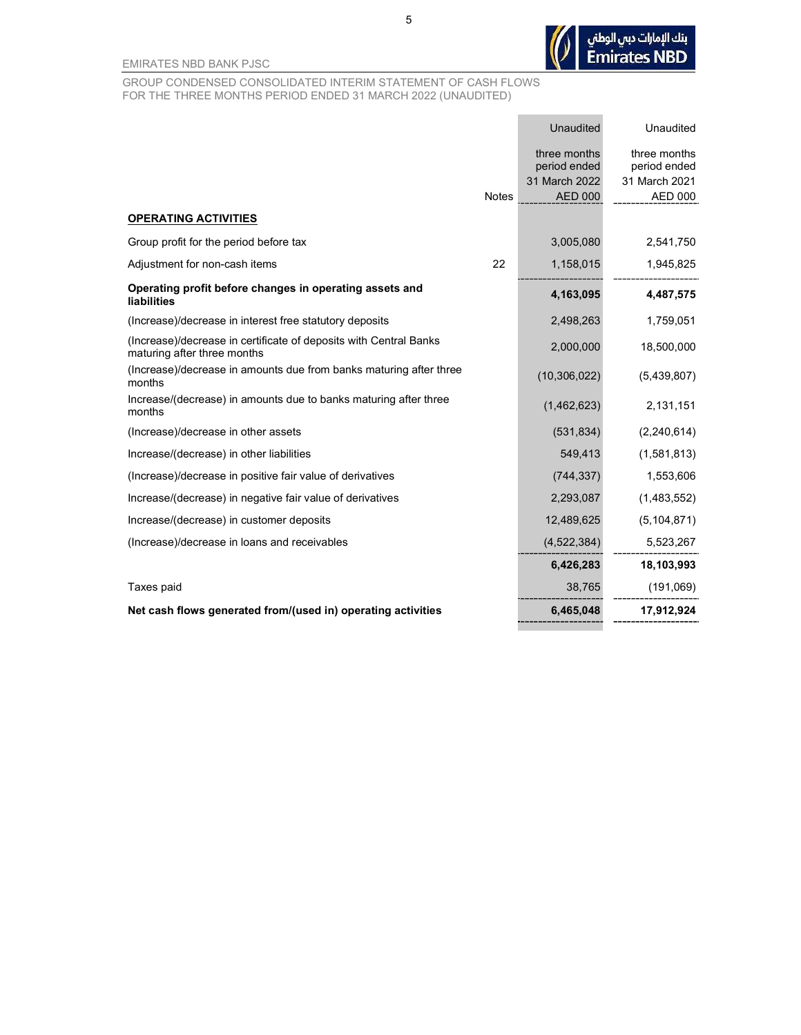

**Contract Contract** 

EMIRATES NBD BANK PJSC

GROUP CONDENSED CONSOLIDATED INTERIM STATEMENT OF CASH FLOWS FOR THE THREE MONTHS PERIOD ENDED 31 MARCH 2022 (UNAUDITED)

|                                                                                                  |              | Unaudited      | Unaudited     |
|--------------------------------------------------------------------------------------------------|--------------|----------------|---------------|
|                                                                                                  |              | three months   | three months  |
|                                                                                                  |              | period ended   | period ended  |
|                                                                                                  |              | 31 March 2022  | 31 March 2021 |
|                                                                                                  | <b>Notes</b> | AED 000        | AED 000       |
| <b>OPERATING ACTIVITIES</b>                                                                      |              |                |               |
| Group profit for the period before tax                                                           |              | 3,005,080      | 2,541,750     |
| Adjustment for non-cash items                                                                    | 22           | 1,158,015      | 1,945,825     |
| Operating profit before changes in operating assets and<br>liabilities                           |              | 4,163,095      | 4,487,575     |
| (Increase)/decrease in interest free statutory deposits                                          |              | 2,498,263      | 1,759,051     |
| (Increase)/decrease in certificate of deposits with Central Banks<br>maturing after three months |              | 2,000,000      | 18,500,000    |
| (Increase)/decrease in amounts due from banks maturing after three<br>months                     |              | (10, 306, 022) | (5,439,807)   |
| Increase/(decrease) in amounts due to banks maturing after three<br>months                       |              | (1,462,623)    | 2,131,151     |
| (Increase)/decrease in other assets                                                              |              | (531, 834)     | (2,240,614)   |
| Increase/(decrease) in other liabilities                                                         |              | 549,413        | (1,581,813)   |
| (Increase)/decrease in positive fair value of derivatives                                        |              | (744, 337)     | 1,553,606     |
| Increase/(decrease) in negative fair value of derivatives                                        |              | 2,293,087      | (1,483,552)   |
| Increase/(decrease) in customer deposits                                                         |              | 12,489,625     | (5, 104, 871) |
| (Increase)/decrease in loans and receivables                                                     |              | (4,522,384)    | 5,523,267     |
|                                                                                                  |              | 6,426,283      | 18,103,993    |
| Taxes paid                                                                                       |              | 38,765         | (191,069)     |
| Net cash flows generated from/(used in) operating activities                                     |              | 6,465,048      | 17,912,924    |
|                                                                                                  |              |                |               |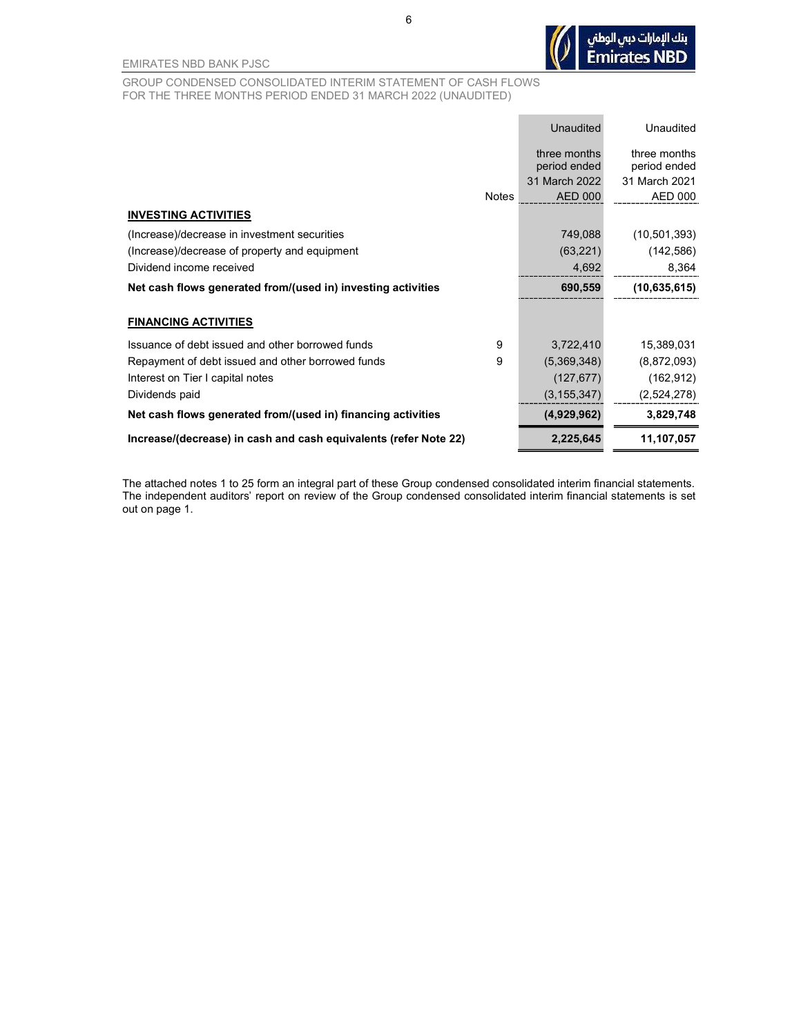

GROUP CONDENSED CONSOLIDATED INTERIM STATEMENT OF CASH FLOWS FOR THE THREE MONTHS PERIOD ENDED 31 MARCH 2022 (UNAUDITED)

|                                                                  | <b>Unaudited</b>                | <b>Unaudited</b>                |
|------------------------------------------------------------------|---------------------------------|---------------------------------|
|                                                                  | three months<br>period ended    | three months<br>period ended    |
| <b>Notes</b>                                                     | 31 March 2022<br><b>AED 000</b> | 31 March 2021<br><b>AED 000</b> |
| <b>INVESTING ACTIVITIES</b>                                      |                                 |                                 |
| (Increase)/decrease in investment securities                     | 749,088                         | (10,501,393)                    |
| (Increase)/decrease of property and equipment                    | (63, 221)                       | (142, 586)                      |
| Dividend income received                                         | 4,692                           | 8,364                           |
| Net cash flows generated from/(used in) investing activities     | 690,559                         | (10,635,615)                    |
| <b>FINANCING ACTIVITIES</b>                                      |                                 |                                 |
| Issuance of debt issued and other borrowed funds<br>9            | 3,722,410                       | 15,389,031                      |
| 9<br>Repayment of debt issued and other borrowed funds           | (5,369,348)                     | (8,872,093)                     |
| Interest on Tier I capital notes                                 | (127, 677)                      | (162, 912)                      |
| Dividends paid                                                   | (3, 155, 347)                   | (2,524,278)                     |
| Net cash flows generated from/(used in) financing activities     | (4,929,962)                     | 3,829,748                       |
| Increase/(decrease) in cash and cash equivalents (refer Note 22) | 2,225,645                       | 11,107,057                      |

The attached notes 1 to 25 form an integral part of these Group condensed consolidated interim financial statements. The independent auditors' report on review of the Group condensed consolidated interim financial statements is set out on page 1.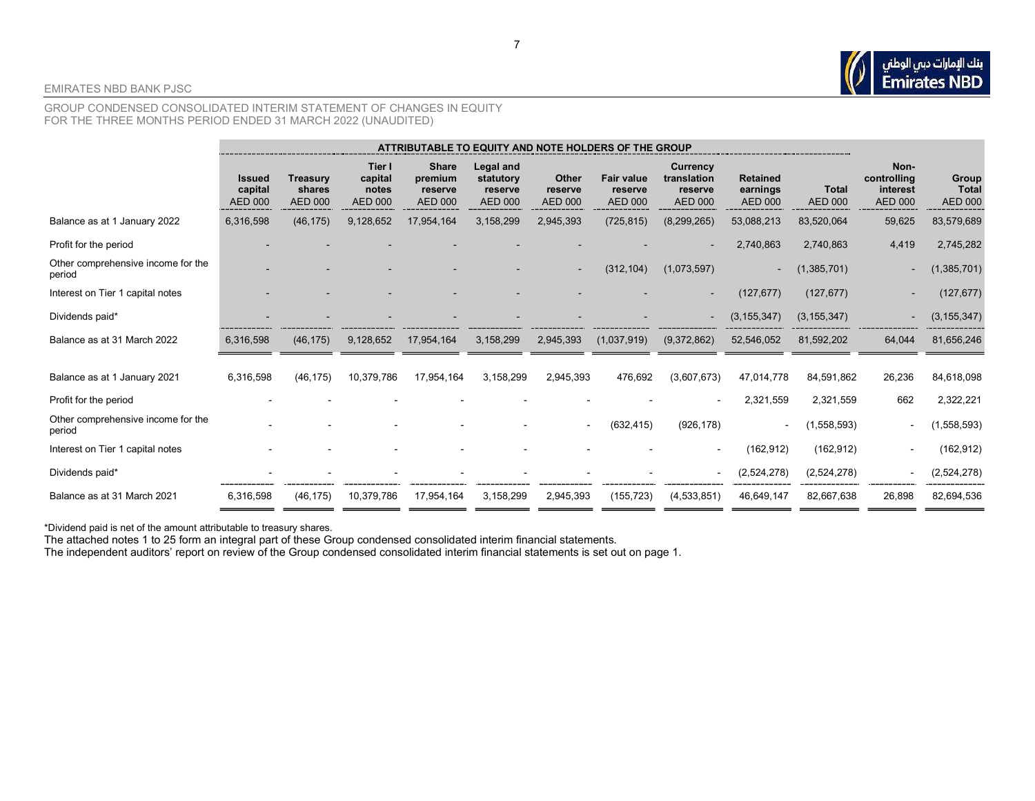#### GROUP CONDENSED CONSOLIDATED INTERIM STATEMENT OF CHANGES IN EQUITY FOR THE THREE MONTHS PERIOD ENDED 31 MARCH 2022 (UNAUDITED)

|                                              | ATTRIBUTABLE TO EQUITY AND NOTE HOLDERS OF THE GROUP |                                             |                                              |                                                      |                                                     |                                    |                                                |                                                             |                                               |                                |                                                   |                                         |
|----------------------------------------------|------------------------------------------------------|---------------------------------------------|----------------------------------------------|------------------------------------------------------|-----------------------------------------------------|------------------------------------|------------------------------------------------|-------------------------------------------------------------|-----------------------------------------------|--------------------------------|---------------------------------------------------|-----------------------------------------|
|                                              | <b>Issued</b><br>capital<br><b>AED 000</b>           | <b>Treasury</b><br>shares<br><b>AED 000</b> | Tier I<br>capital<br>notes<br><b>AED 000</b> | <b>Share</b><br>premium<br>reserve<br><b>AED 000</b> | Legal and<br>statutory<br>reserve<br><b>AED 000</b> | Other<br>reserve<br><b>AED 000</b> | <b>Fair value</b><br>reserve<br><b>AED 000</b> | <b>Currency</b><br>translation<br>reserve<br><b>AED 000</b> | <b>Retained</b><br>earnings<br><b>AED 000</b> | <b>Total</b><br><b>AED 000</b> | Non-<br>controlling<br>interest<br><b>AED 000</b> | Group<br><b>Total</b><br><b>AED 000</b> |
| Balance as at 1 January 2022                 | 6,316,598                                            | (46, 175)                                   | 9,128,652                                    | 17,954,164                                           | 3,158,299                                           | 2,945,393                          | (725, 815)                                     | (8, 299, 265)                                               | 53,088,213                                    | 83,520,064                     | 59,625                                            | 83,579,689                              |
| Profit for the period                        |                                                      |                                             |                                              |                                                      |                                                     |                                    |                                                |                                                             | 2,740,863                                     | 2,740,863                      | 4,419                                             | 2,745,282                               |
| Other comprehensive income for the<br>period |                                                      |                                             |                                              |                                                      |                                                     | $\overline{\phantom{a}}$           | (312, 104)                                     | (1,073,597)                                                 | $\sim$                                        | (1,385,701)                    |                                                   | (1, 385, 701)                           |
| Interest on Tier 1 capital notes             |                                                      |                                             |                                              |                                                      |                                                     |                                    |                                                |                                                             | (127, 677)                                    | (127, 677)                     |                                                   | (127, 677)                              |
| Dividends paid*                              |                                                      |                                             |                                              |                                                      |                                                     |                                    |                                                |                                                             | (3, 155, 347)                                 | (3, 155, 347)                  |                                                   | (3, 155, 347)                           |
| Balance as at 31 March 2022                  | 6,316,598                                            | (46, 175)                                   | 9,128,652                                    | 17,954,164                                           | 3,158,299                                           | 2,945,393                          | (1,037,919)                                    | (9,372,862)                                                 | 52,546,052                                    | 81,592,202                     | 64,044                                            | 81,656,246                              |
| Balance as at 1 January 2021                 | 6,316,598                                            | (46, 175)                                   | 10,379,786                                   | 17,954,164                                           | 3,158,299                                           | 2,945,393                          | 476,692                                        | (3,607,673)                                                 | 47,014,778                                    | 84,591,862                     | 26,236                                            | 84,618,098                              |
| Profit for the period                        |                                                      |                                             |                                              |                                                      |                                                     |                                    |                                                |                                                             | 2,321,559                                     | 2,321,559                      | 662                                               | 2,322,221                               |
| Other comprehensive income for the<br>period |                                                      |                                             |                                              |                                                      |                                                     |                                    | (632, 415)                                     | (926, 178)                                                  |                                               | (1,558,593)                    |                                                   | (1,558,593)                             |
| Interest on Tier 1 capital notes             |                                                      |                                             |                                              |                                                      |                                                     |                                    |                                                | $\overline{\phantom{a}}$                                    | (162, 912)                                    | (162, 912)                     |                                                   | (162, 912)                              |
| Dividends paid*                              |                                                      |                                             |                                              |                                                      |                                                     |                                    |                                                |                                                             | (2,524,278)                                   | (2,524,278)                    |                                                   | (2,524,278)                             |
| Balance as at 31 March 2021                  | 6,316,598                                            | (46, 175)                                   | 10,379,786                                   | 17,954,164                                           | 3,158,299                                           | 2,945,393                          | (155, 723)                                     | (4,533,851)                                                 | 46,649,147                                    | 82,667,638                     | 26,898                                            | 82,694,536                              |

\*Dividend paid is net of the amount attributable to treasury shares.

The attached notes 1 to 25 form an integral part of these Group condensed consolidated interim financial statements.

The independent auditors' report on review of the Group condensed consolidated interim financial statements is set out on page 1.

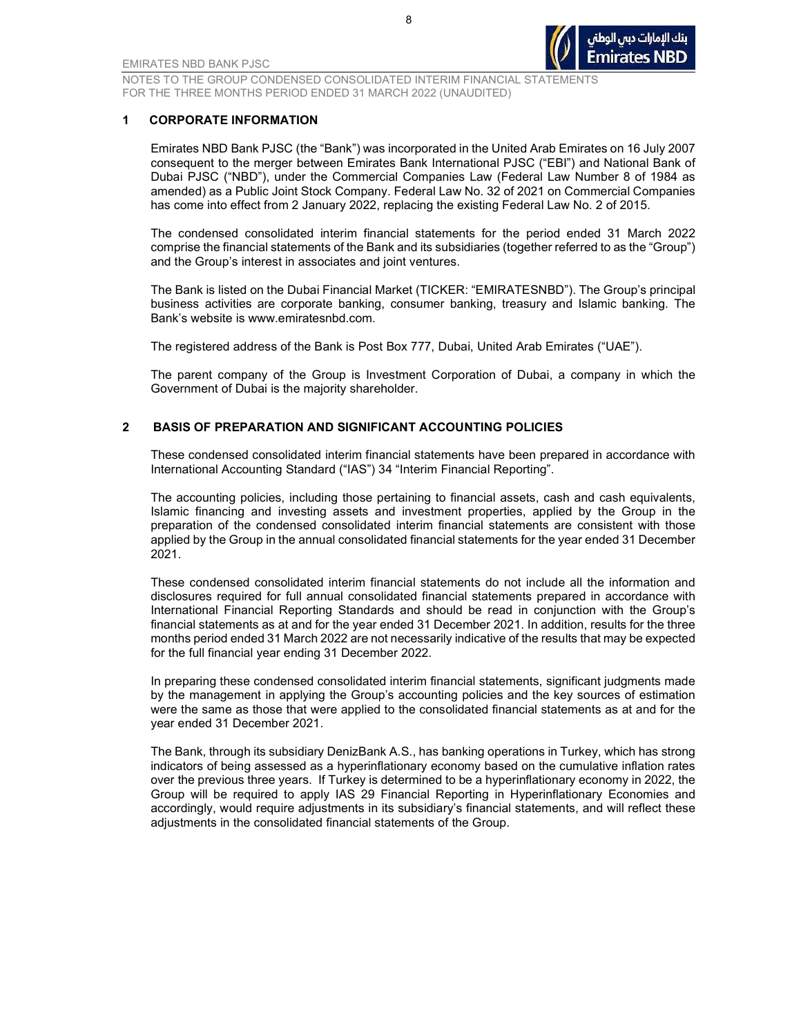

#### 1 CORPORATE INFORMATION

Emirates NBD Bank PJSC (the "Bank") was incorporated in the United Arab Emirates on 16 July 2007 consequent to the merger between Emirates Bank International PJSC ("EBI") and National Bank of Dubai PJSC ("NBD"), under the Commercial Companies Law (Federal Law Number 8 of 1984 as amended) as a Public Joint Stock Company. Federal Law No. 32 of 2021 on Commercial Companies has come into effect from 2 January 2022, replacing the existing Federal Law No. 2 of 2015.

The condensed consolidated interim financial statements for the period ended 31 March 2022 comprise the financial statements of the Bank and its subsidiaries (together referred to as the "Group") and the Group's interest in associates and joint ventures.

The Bank is listed on the Dubai Financial Market (TICKER: "EMIRATESNBD"). The Group's principal business activities are corporate banking, consumer banking, treasury and Islamic banking. The Bank's website is www.emiratesnbd.com.

The registered address of the Bank is Post Box 777, Dubai, United Arab Emirates ("UAE").

The parent company of the Group is Investment Corporation of Dubai, a company in which the Government of Dubai is the majority shareholder.

#### 2 BASIS OF PREPARATION AND SIGNIFICANT ACCOUNTING POLICIES

These condensed consolidated interim financial statements have been prepared in accordance with International Accounting Standard ("IAS") 34 "Interim Financial Reporting".

The accounting policies, including those pertaining to financial assets, cash and cash equivalents, Islamic financing and investing assets and investment properties, applied by the Group in the preparation of the condensed consolidated interim financial statements are consistent with those applied by the Group in the annual consolidated financial statements for the year ended 31 December 2021.

These condensed consolidated interim financial statements do not include all the information and disclosures required for full annual consolidated financial statements prepared in accordance with International Financial Reporting Standards and should be read in conjunction with the Group's financial statements as at and for the year ended 31 December 2021. In addition, results for the three months period ended 31 March 2022 are not necessarily indicative of the results that may be expected for the full financial year ending 31 December 2022.

In preparing these condensed consolidated interim financial statements, significant judgments made by the management in applying the Group's accounting policies and the key sources of estimation were the same as those that were applied to the consolidated financial statements as at and for the year ended 31 December 2021.

The Bank, through its subsidiary DenizBank A.S., has banking operations in Turkey, which has strong indicators of being assessed as a hyperinflationary economy based on the cumulative inflation rates over the previous three years. If Turkey is determined to be a hyperinflationary economy in 2022, the Group will be required to apply IAS 29 Financial Reporting in Hyperinflationary Economies and accordingly, would require adjustments in its subsidiary's financial statements, and will reflect these adjustments in the consolidated financial statements of the Group.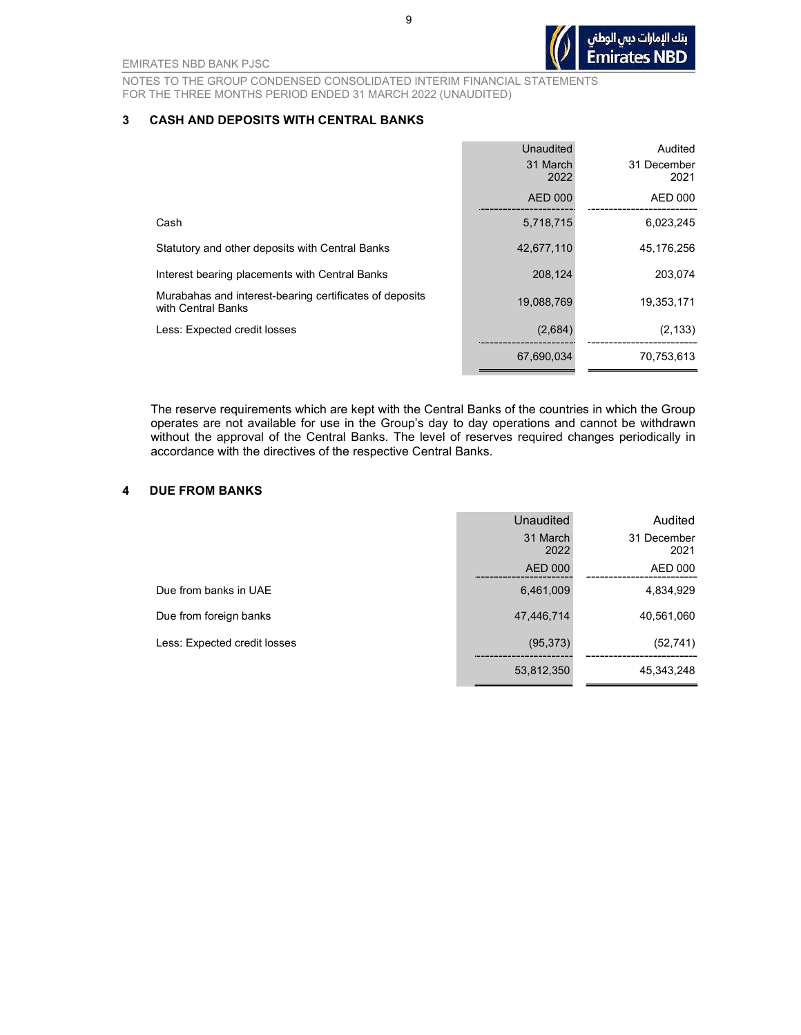9

EMIRATES NBD BANK PJSC

NOTES TO THE GROUP CONDENSED CONSOLIDATED INTERIM FINANCIAL STATEMENTS FOR THE THREE MONTHS PERIOD ENDED 31 MARCH 2022 (UNAUDITED)

#### 3 CASH AND DEPOSITS WITH CENTRAL BANKS

|                                                                               | <b>Unaudited</b> | Audited             |
|-------------------------------------------------------------------------------|------------------|---------------------|
|                                                                               | 31 March<br>2022 | 31 December<br>2021 |
|                                                                               | AED 000          | AED 000             |
| Cash                                                                          | 5,718,715        | 6,023,245           |
| Statutory and other deposits with Central Banks                               | 42,677,110       | 45,176,256          |
| Interest bearing placements with Central Banks                                | 208,124          | 203,074             |
| Murabahas and interest-bearing certificates of deposits<br>with Central Banks | 19,088,769       | 19,353,171          |
| Less: Expected credit losses                                                  | (2,684)          | (2, 133)            |
|                                                                               | 67,690,034       | 70,753,613          |

The reserve requirements which are kept with the Central Banks of the countries in which the Group operates are not available for use in the Group's day to day operations and cannot be withdrawn without the approval of the Central Banks. The level of reserves required changes periodically in accordance with the directives of the respective Central Banks.

#### 4 DUE FROM BANKS

|                              | Unaudited        | Audited             |
|------------------------------|------------------|---------------------|
|                              | 31 March<br>2022 | 31 December<br>2021 |
|                              | AED 000          | AED 000             |
| Due from banks in UAE        | 6,461,009        | 4,834,929           |
| Due from foreign banks       | 47,446,714       | 40,561,060          |
| Less: Expected credit losses | (95, 373)        | (52, 741)           |
|                              | 53,812,350       | 45,343,248          |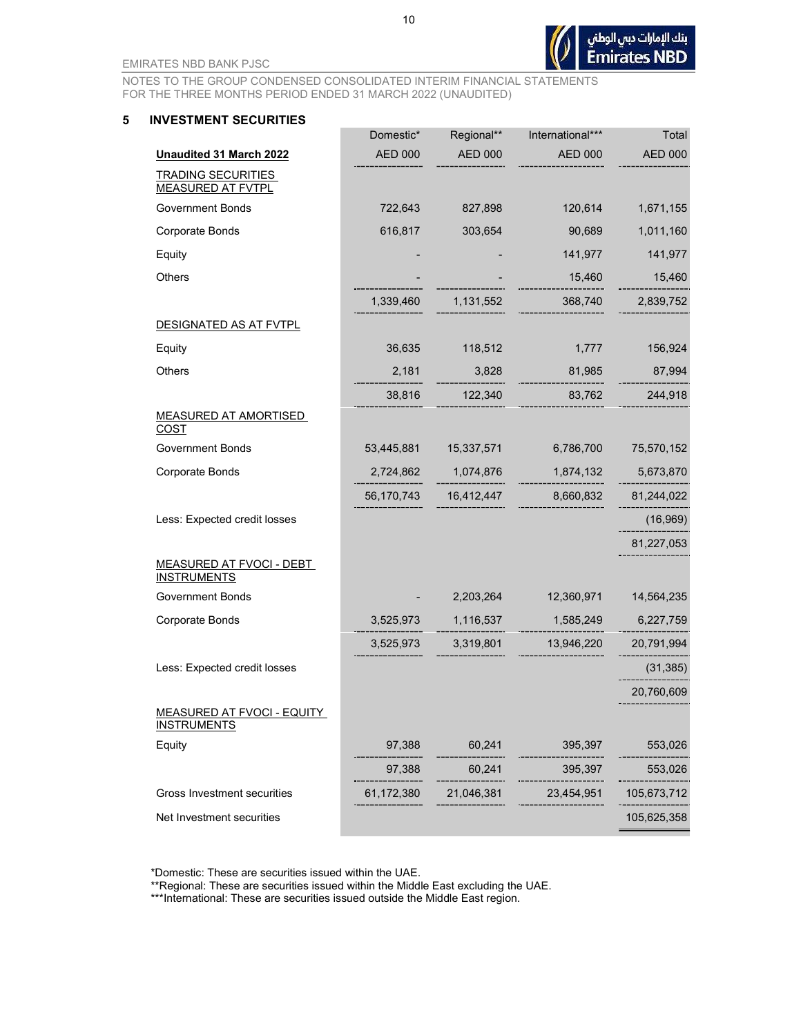NOTES TO THE GROUP CONDENSED CONSOLIDATED INTERIM FINANCIAL STATEMENTS FOR THE THREE MONTHS PERIOD ENDED 31 MARCH 2022 (UNAUDITED)

#### 5 INVESTMENT SECURITIES

|                                                       | Domestic*      | Regional**     | International*** | Total          |
|-------------------------------------------------------|----------------|----------------|------------------|----------------|
| Unaudited 31 March 2022                               | <b>AED 000</b> | <b>AED 000</b> | <b>AED 000</b>   | <b>AED 000</b> |
| <b>TRADING SECURITIES</b><br><b>MEASURED AT FVTPL</b> |                |                |                  |                |
| <b>Government Bonds</b>                               | 722,643        | 827,898        | 120,614          | 1,671,155      |
| Corporate Bonds                                       | 616,817        | 303,654        | 90,689           | 1,011,160      |
| Equity                                                |                |                | 141,977          | 141,977        |
| Others                                                |                |                | 15,460           | 15,460         |
|                                                       | 1,339,460      | 1,131,552      | 368,740          | 2,839,752      |
| DESIGNATED AS AT FVTPL                                |                |                |                  |                |
| Equity                                                | 36,635         | 118,512        | 1,777            | 156,924        |
| Others                                                | 2,181          | 3,828          | 81,985           | 87,994         |
|                                                       | 38,816         | 122,340        | 83,762           | 244,918        |
| <b>MEASURED AT AMORTISED</b><br>COST                  |                |                |                  |                |
| <b>Government Bonds</b>                               | 53,445,881     | 15,337,571     | 6,786,700        | 75,570,152     |
| Corporate Bonds                                       | 2,724,862      | 1,074,876      | 1,874,132        | 5,673,870      |
|                                                       | 56,170,743     | 16,412,447     | 8,660,832        | 81,244,022     |
| Less: Expected credit losses                          |                |                |                  | (16, 969)      |
|                                                       |                |                |                  | 81,227,053     |
| <b>MEASURED AT FVOCI - DEBT</b><br><b>INSTRUMENTS</b> |                |                |                  |                |
| <b>Government Bonds</b>                               |                | 2,203,264      | 12,360,971       | 14,564,235     |
| <b>Corporate Bonds</b>                                | 3,525,973      | 1,116,537      | 1,585,249        | 6,227,759      |
|                                                       | 3,525,973      | 3,319,801      | 13,946,220       | 20,791,994     |
| Less: Expected credit losses                          |                |                |                  | (31, 385)      |
|                                                       |                |                |                  | 20,760,609     |
| MEASURED AT FVOCI - EQUITY<br><u>INSTRUMENTS</u>      |                |                |                  |                |
| Equity                                                | 97,388         | 60,241         | 395,397          | 553,026        |
|                                                       | 97,388         | 60,241         | 395,397          | 553,026        |
| Gross Investment securities                           | 61,172,380     | 21,046,381     | 23,454,951       | 105,673,712    |
| Net Investment securities                             |                |                |                  | 105,625,358    |
|                                                       |                |                |                  |                |

\*Domestic: These are securities issued within the UAE.

\*\*Regional: These are securities issued within the Middle East excluding the UAE.

\*\*\*International: These are securities issued outside the Middle East region.

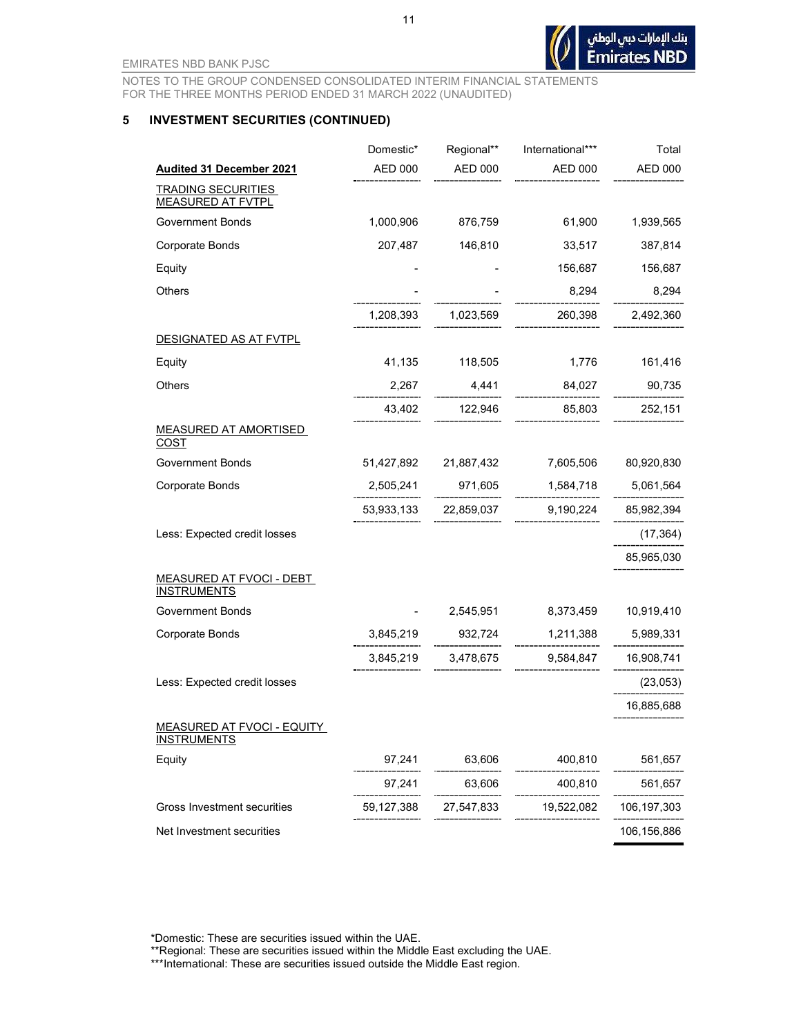NOTES TO THE GROUP CONDENSED CONSOLIDATED INTERIM FINANCIAL STATEMENTS FOR THE THREE MONTHS PERIOD ENDED 31 MARCH 2022 (UNAUDITED)

#### 5 INVESTMENT SECURITIES (CONTINUED)

|                                                         | Domestic*  | Regional**            | International*** | Total                |
|---------------------------------------------------------|------------|-----------------------|------------------|----------------------|
| <b>Audited 31 December 2021</b>                         | AED 000    | AED 000               | AED 000          | <b>AED 000</b>       |
| <b>TRADING SECURITIES</b><br><b>MEASURED AT FVTPL</b>   |            |                       |                  |                      |
| <b>Government Bonds</b>                                 | 1,000,906  | 876,759               | 61,900           | 1,939,565            |
| <b>Corporate Bonds</b>                                  | 207,487    | 146,810               | 33,517           | 387,814              |
| Equity                                                  |            |                       | 156,687          | 156,687              |
| Others                                                  |            |                       | 8,294            | 8,294                |
|                                                         | 1,208,393  | 1,023,569             | 260,398          | 2,492,360            |
| <u>DESIGNATED AS AT FVTPL</u>                           |            |                       |                  |                      |
| Equity                                                  | 41,135     | 118,505               | 1,776            | 161,416              |
| Others                                                  | 2,267      | 4,441                 | 84,027           | 90,735               |
|                                                         | 43,402     | 122,946               | 85,803           | 252,151              |
| <b>MEASURED AT AMORTISED</b><br><b>COST</b>             |            |                       |                  |                      |
| <b>Government Bonds</b>                                 |            | 51,427,892 21,887,432 |                  | 7,605,506 80,920,830 |
| Corporate Bonds                                         | 2,505,241  | 971,605               | 1,584,718        | 5,061,564            |
|                                                         |            | 53,933,133 22,859,037 |                  | 9,190,224 85,982,394 |
| Less: Expected credit losses                            |            |                       |                  | (17, 364)            |
|                                                         |            |                       |                  | 85,965,030           |
| <b>MEASURED AT FVOCI - DEBT</b><br><b>INSTRUMENTS</b>   |            |                       |                  |                      |
| <b>Government Bonds</b>                                 |            | 2,545,951             | 8,373,459        | 10,919,410           |
| <b>Corporate Bonds</b>                                  |            | 3,845,219 932,724     |                  | 1,211,388 5,989,331  |
|                                                         |            | 3,845,219 3,478,675   | 9,584,847        | 16,908,741           |
| Less: Expected credit losses                            |            |                       |                  | (23,053)             |
|                                                         |            |                       |                  | 16,885,688           |
| <b>MEASURED AT FVOCI - EQUITY</b><br><b>INSTRUMENTS</b> |            |                       |                  |                      |
| Equity                                                  | 97,241     | 63,606                | 400,810          | 561,657              |
|                                                         | 97,241     | 63,606                | 400,810          | 561,657              |
| Gross Investment securities                             | 59,127,388 | 27,547,833            | 19,522,082       | 106,197,303          |
| Net Investment securities                               |            |                       |                  | 106,156,886          |

\*Domestic: These are securities issued within the UAE.

\*\*Regional: These are securities issued within the Middle East excluding the UAE.

\*\*\*International: These are securities issued outside the Middle East region.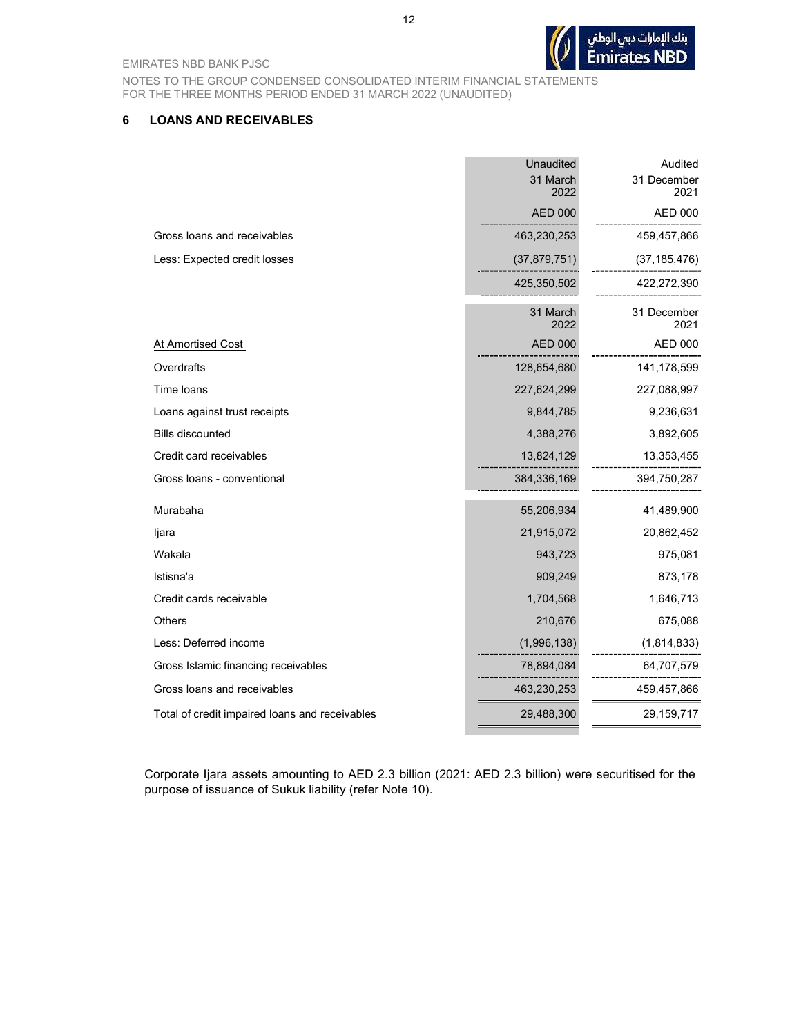NOTES TO THE GROUP CONDENSED CONSOLIDATED INTERIM FINANCIAL STATEMENTS FOR THE THREE MONTHS PERIOD ENDED 31 MARCH 2022 (UNAUDITED)

#### 6 LOANS AND RECEIVABLES

|                                                | <b>Unaudited</b><br>31 March<br>2022 | Audited<br>31 December<br>2021 |
|------------------------------------------------|--------------------------------------|--------------------------------|
|                                                | <b>AED 000</b>                       | AED 000                        |
| Gross loans and receivables                    | 463,230,253                          | 459,457,866                    |
| Less: Expected credit losses                   | (37, 879, 751)                       | (37, 185, 476)                 |
|                                                | 425,350,502                          | 422,272,390                    |
|                                                | 31 March<br>2022                     | 31 December<br>2021            |
| At Amortised Cost                              | <b>AED 000</b>                       | <b>AED 000</b>                 |
| Overdrafts                                     | 128,654,680                          | 141,178,599                    |
| Time loans                                     | 227,624,299                          | 227,088,997                    |
| Loans against trust receipts                   | 9,844,785                            | 9,236,631                      |
| <b>Bills discounted</b>                        | 4,388,276                            | 3,892,605                      |
| Credit card receivables                        | 13,824,129                           | 13,353,455                     |
| Gross loans - conventional                     | 384,336,169                          | 394,750,287                    |
| Murabaha                                       | 55,206,934                           | 41,489,900                     |
| ljara                                          | 21,915,072                           | 20,862,452                     |
| Wakala                                         | 943,723                              | 975,081                        |
| Istisna'a                                      | 909,249                              | 873,178                        |
| Credit cards receivable                        | 1,704,568                            | 1,646,713                      |
| <b>Others</b>                                  | 210,676                              | 675,088                        |
| Less: Deferred income                          | (1,996,138)                          | (1,814,833)                    |
| Gross Islamic financing receivables            | 78,894,084                           | 64,707,579                     |
| Gross loans and receivables                    | 463,230,253                          | 459,457,866                    |
| Total of credit impaired loans and receivables | 29,488,300                           | 29,159,717                     |

Corporate Ijara assets amounting to AED 2.3 billion (2021: AED 2.3 billion) were securitised for the purpose of issuance of Sukuk liability (refer Note 10).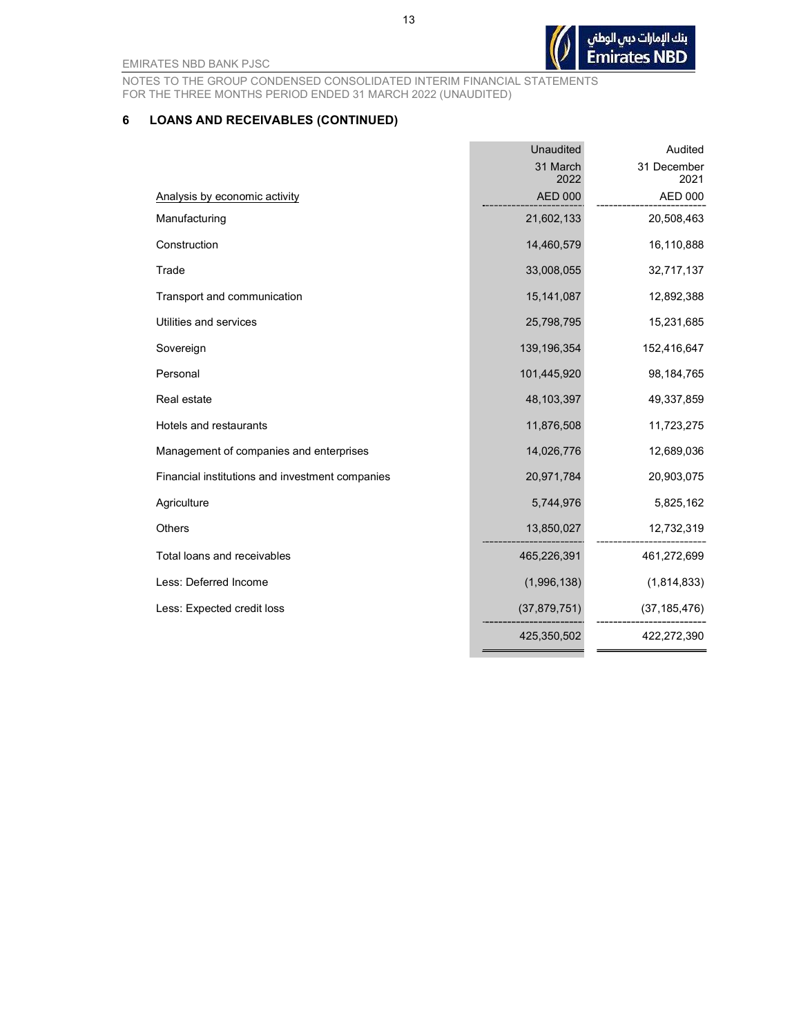NOTES TO THE GROUP CONDENSED CONSOLIDATED INTERIM FINANCIAL STATEMENTS FOR THE THREE MONTHS PERIOD ENDED 31 MARCH 2022 (UNAUDITED)

## 6 LOANS AND RECEIVABLES (CONTINUED)

|                                                 | Unaudited      | Audited        |
|-------------------------------------------------|----------------|----------------|
|                                                 | 31 March       | 31 December    |
|                                                 | 2022           | 2021           |
| Analysis by economic activity                   | <b>AED 000</b> | <b>AED 000</b> |
| Manufacturing                                   | 21,602,133     | 20,508,463     |
| Construction                                    | 14,460,579     | 16,110,888     |
| Trade                                           | 33,008,055     | 32,717,137     |
| Transport and communication                     | 15, 141, 087   | 12,892,388     |
| Utilities and services                          | 25,798,795     | 15,231,685     |
| Sovereign                                       | 139,196,354    | 152,416,647    |
| Personal                                        | 101,445,920    | 98,184,765     |
| Real estate                                     | 48,103,397     | 49,337,859     |
| Hotels and restaurants                          | 11,876,508     | 11,723,275     |
| Management of companies and enterprises         | 14,026,776     | 12,689,036     |
| Financial institutions and investment companies | 20,971,784     | 20,903,075     |
| Agriculture                                     | 5,744,976      | 5,825,162      |
| <b>Others</b>                                   | 13,850,027     | 12,732,319     |
| Total loans and receivables                     | 465,226,391    | 461,272,699    |
| Less: Deferred Income                           | (1,996,138)    | (1,814,833)    |
| Less: Expected credit loss                      | (37, 879, 751) | (37, 185, 476) |
|                                                 | 425,350,502    | 422,272,390    |

\_\_\_\_\_\_\_\_\_\_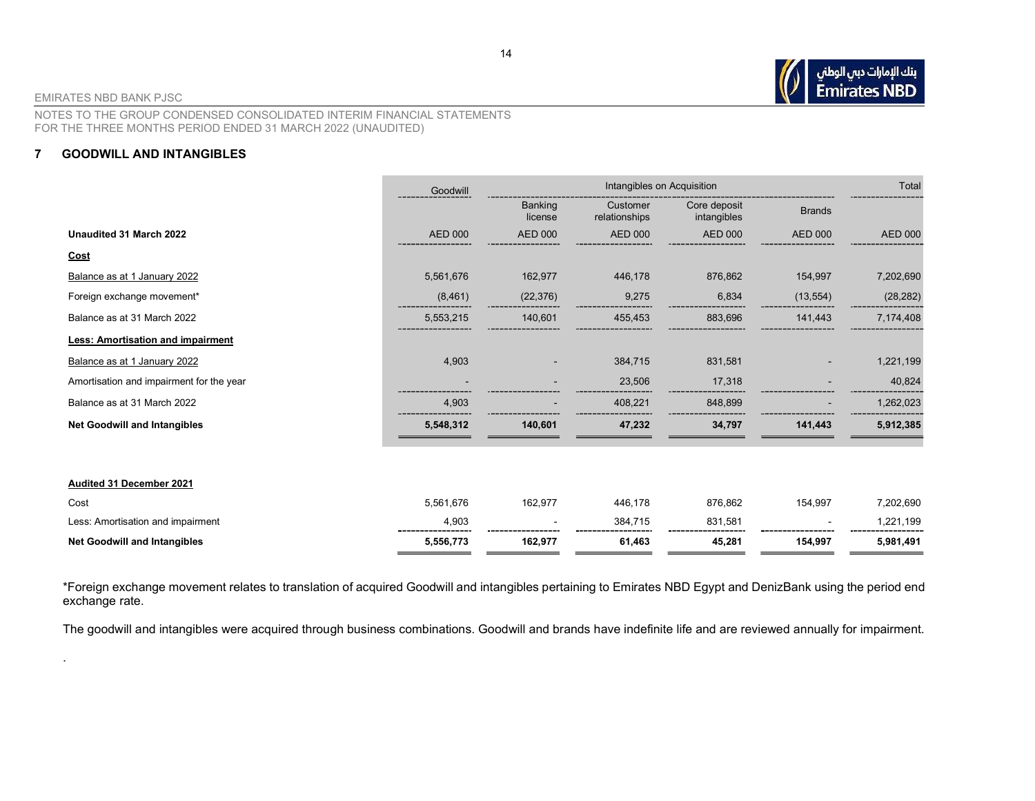

.

NOTES TO THE GROUP CONDENSED CONSOLIDATED INTERIM FINANCIAL STATEMENTS FOR THE THREE MONTHS PERIOD ENDED 31 MARCH 2022 (UNAUDITED)

#### 7 GOODWILL AND INTANGIBLES

|                                          | Goodwill       | Intangibles on Acquisition |                           |                             | Total          |                |
|------------------------------------------|----------------|----------------------------|---------------------------|-----------------------------|----------------|----------------|
|                                          |                | <b>Banking</b><br>license  | Customer<br>relationships | Core deposit<br>intangibles | <b>Brands</b>  |                |
| Unaudited 31 March 2022                  | <b>AED 000</b> | <b>AED 000</b>             | <b>AED 000</b>            | <b>AED 000</b>              | <b>AED 000</b> | <b>AED 000</b> |
| <u>Cost</u>                              |                |                            |                           |                             |                |                |
| Balance as at 1 January 2022             | 5,561,676      | 162,977                    | 446,178                   | 876,862                     | 154,997        | 7,202,690      |
| Foreign exchange movement*               | (8,461)        | (22, 376)                  | 9,275                     | 6,834                       | (13, 554)      | (28, 282)      |
| Balance as at 31 March 2022              | 5,553,215      | 140,601                    | 455,453                   | 883,696                     | 141,443        | 7,174,408      |
| Less: Amortisation and impairment        |                |                            |                           |                             |                |                |
| Balance as at 1 January 2022             | 4,903          |                            | 384,715                   | 831,581                     |                | 1,221,199      |
| Amortisation and impairment for the year |                |                            | 23,506                    | 17,318                      |                | 40,824         |
| Balance as at 31 March 2022              | 4,903          |                            | 408,221                   | 848,899                     |                | 1,262,023      |
| <b>Net Goodwill and Intangibles</b>      | 5,548,312      | 140,601                    | 47,232                    | 34,797                      | 141,443        | 5,912,385      |
|                                          |                |                            |                           |                             |                |                |
| Audited 31 December 2021                 |                |                            |                           |                             |                |                |
| Cost                                     | 5,561,676      | 162,977                    | 446,178                   | 876,862                     | 154,997        | 7,202,690      |
| Less: Amortisation and impairment        | 4,903          |                            | 384,715                   | 831,581                     |                | 1,221,199      |
| <b>Net Goodwill and Intangibles</b>      | 5,556,773      | 162,977                    | 61,463                    | 45,281                      | 154,997        | 5,981,491      |

\*Foreign exchange movement relates to translation of acquired Goodwill and intangibles pertaining to Emirates NBD Egypt and DenizBank using the period end exchange rate.

The goodwill and intangibles were acquired through business combinations. Goodwill and brands have indefinite life and are reviewed annually for impairment.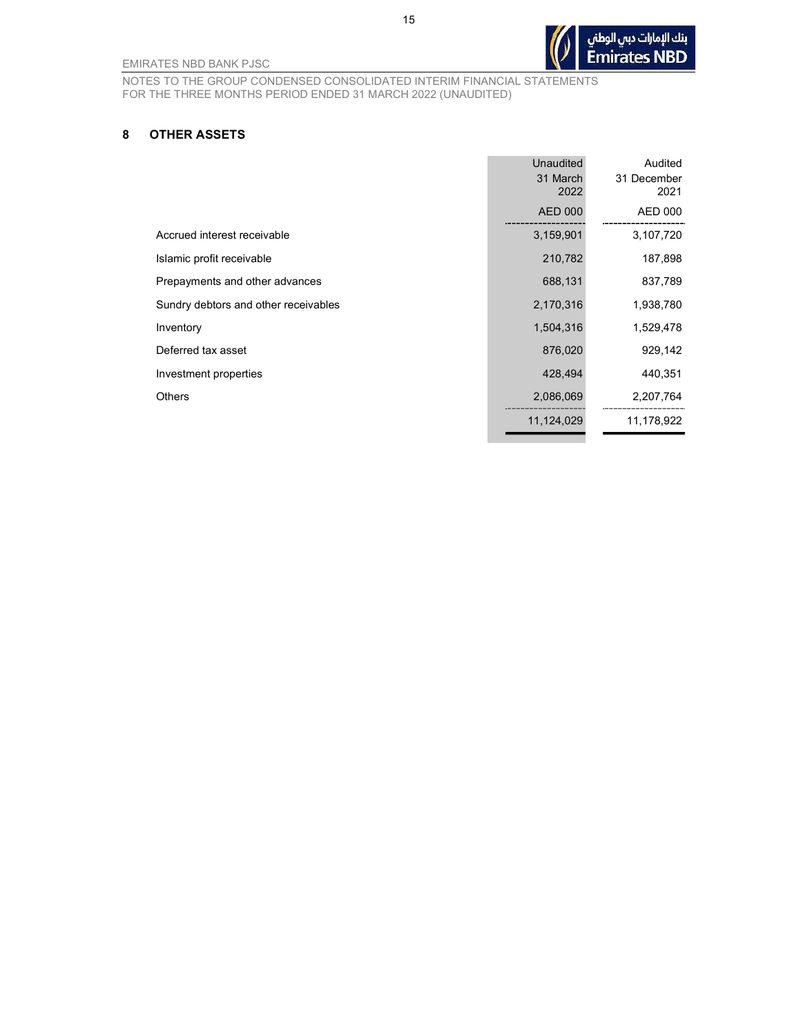بنك الإمارات دبي الوطني **Emirates NBD** 

NOTES TO THE GROUP CONDENSED CONSOLIDATED INTERIM FINANCIAL STATEMENTS FOR THE THREE MONTHS PERIOD ENDED 31 MARCH 2022 (UNAUDITED)

#### 8 OTHER ASSETS

|                                      | <b>Unaudited</b> | Audited             |
|--------------------------------------|------------------|---------------------|
|                                      | 31 March<br>2022 | 31 December<br>2021 |
|                                      | <b>AED 000</b>   | AED 000             |
| Accrued interest receivable          | 3,159,901        | 3,107,720           |
| Islamic profit receivable            | 210,782          | 187,898             |
| Prepayments and other advances       | 688,131          | 837,789             |
| Sundry debtors and other receivables | 2,170,316        | 1,938,780           |
| Inventory                            | 1,504,316        | 1,529,478           |
| Deferred tax asset                   | 876,020          | 929,142             |
| Investment properties                | 428,494          | 440,351             |
| Others                               | 2,086,069        | 2,207,764           |
|                                      | 11,124,029       | 11,178,922          |

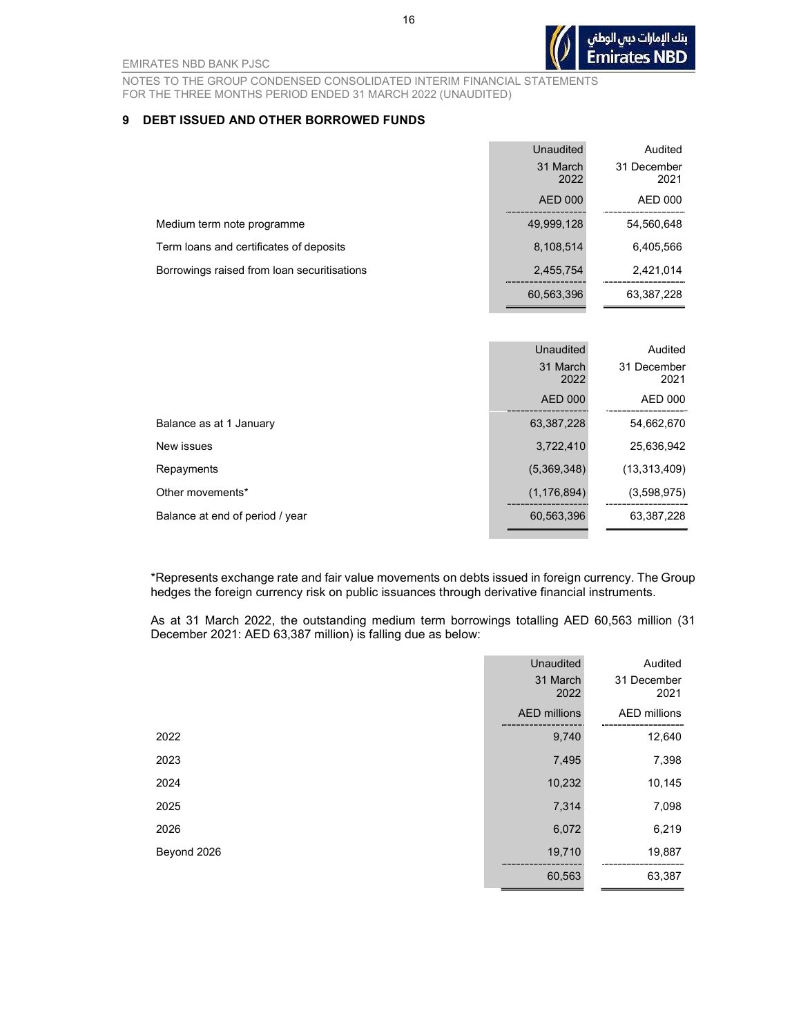NOTES TO THE GROUP CONDENSED CONSOLIDATED INTERIM FINANCIAL STATEMENTS FOR THE THREE MONTHS PERIOD ENDED 31 MARCH 2022 (UNAUDITED)

#### 9 DEBT ISSUED AND OTHER BORROWED FUNDS

|                                             | Unaudited        | Audited             |
|---------------------------------------------|------------------|---------------------|
|                                             | 31 March<br>2022 | 31 December<br>2021 |
|                                             | <b>AED 000</b>   | AED 000             |
| Medium term note programme                  | 49,999,128       | 54,560,648          |
| Term loans and certificates of deposits     | 8,108,514        | 6,405,566           |
| Borrowings raised from loan securitisations | 2,455,754        | 2,421,014           |
|                                             | 60.563,396       | 63,387,228          |

|                                 | Unaudited        | Audited             |
|---------------------------------|------------------|---------------------|
|                                 | 31 March<br>2022 | 31 December<br>2021 |
|                                 | <b>AED 000</b>   | AED 000             |
| Balance as at 1 January         | 63,387,228       | 54,662,670          |
| New issues                      | 3,722,410        | 25,636,942          |
| Repayments                      | (5,369,348)      | (13, 313, 409)      |
| Other movements*                | (1, 176, 894)    | (3,598,975)         |
| Balance at end of period / year | 60,563,396       | 63,387,228          |
|                                 |                  |                     |

\*Represents exchange rate and fair value movements on debts issued in foreign currency. The Group hedges the foreign currency risk on public issuances through derivative financial instruments.

As at 31 March 2022, the outstanding medium term borrowings totalling AED 60,563 million (31 December 2021: AED 63,387 million) is falling due as below:

|             | Unaudited           | Audited             |
|-------------|---------------------|---------------------|
|             | 31 March<br>2022    | 31 December<br>2021 |
|             | <b>AED</b> millions | AED millions        |
| 2022        | 9,740               | 12,640              |
| 2023        | 7,495               | 7,398               |
| 2024        | 10,232              | 10,145              |
| 2025        | 7,314               | 7,098               |
| 2026        | 6,072               | 6,219               |
| Beyond 2026 | 19,710              | 19,887              |
|             | 60,563              | 63,387              |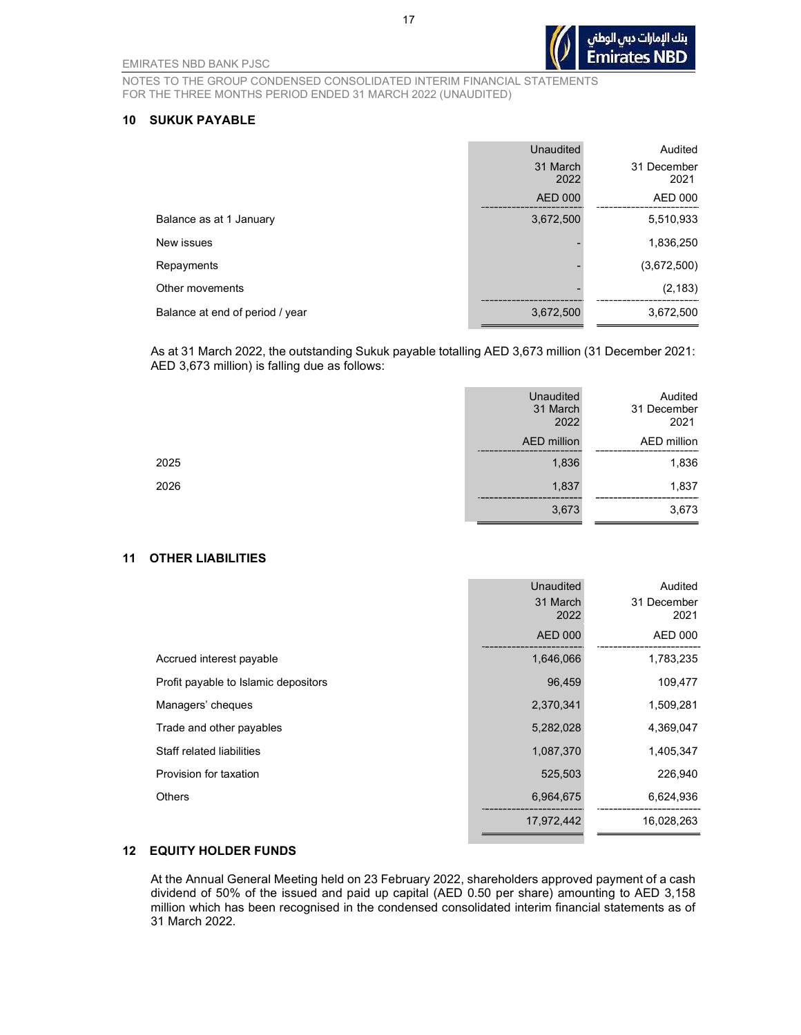NOTES TO THE GROUP CONDENSED CONSOLIDATED INTERIM FINANCIAL STATEMENTS FOR THE THREE MONTHS PERIOD ENDED 31 MARCH 2022 (UNAUDITED)

#### 10 SUKUK PAYABLE

|                                 | <b>Unaudited</b> | Audited             |
|---------------------------------|------------------|---------------------|
|                                 | 31 March<br>2022 | 31 December<br>2021 |
|                                 | <b>AED 000</b>   | AED 000             |
| Balance as at 1 January         | 3,672,500        | 5,510,933           |
| New issues                      |                  | 1,836,250           |
| Repayments                      |                  | (3,672,500)         |
| Other movements                 |                  | (2, 183)            |
| Balance at end of period / year | 3,672,500        | 3,672,500           |
|                                 |                  |                     |

As at 31 March 2022, the outstanding Sukuk payable totalling AED 3,673 million (31 December 2021: AED 3,673 million) is falling due as follows:

|      | <b>Unaudited</b><br>31 March<br>2022 | Audited<br>31 December<br>2021 |
|------|--------------------------------------|--------------------------------|
|      | <b>AED</b> million                   | AED million                    |
| 2025 | 1,836                                | 1,836                          |
| 2026 | 1,837                                | 1,837                          |
|      | 3,673                                | 3,673                          |

#### 11 OTHER LIABILITIES

|                                      | <b>Unaudited</b> | Audited     |
|--------------------------------------|------------------|-------------|
|                                      | 31 March         | 31 December |
|                                      | 2022             | 2021        |
|                                      | AED 000          | AED 000     |
| Accrued interest payable             | 1,646,066        | 1,783,235   |
| Profit payable to Islamic depositors | 96,459           | 109,477     |
| Managers' cheques                    | 2,370,341        | 1,509,281   |
| Trade and other payables             | 5,282,028        | 4,369,047   |
| Staff related liabilities            | 1,087,370        | 1,405,347   |
| Provision for taxation               | 525,503          | 226,940     |
| <b>Others</b>                        | 6,964,675        | 6,624,936   |
|                                      | 17,972,442       | 16,028,263  |

#### 12 EQUITY HOLDER FUNDS

At the Annual General Meeting held on 23 February 2022, shareholders approved payment of a cash dividend of 50% of the issued and paid up capital (AED 0.50 per share) amounting to AED 3,158 million which has been recognised in the condensed consolidated interim financial statements as of 31 March 2022.

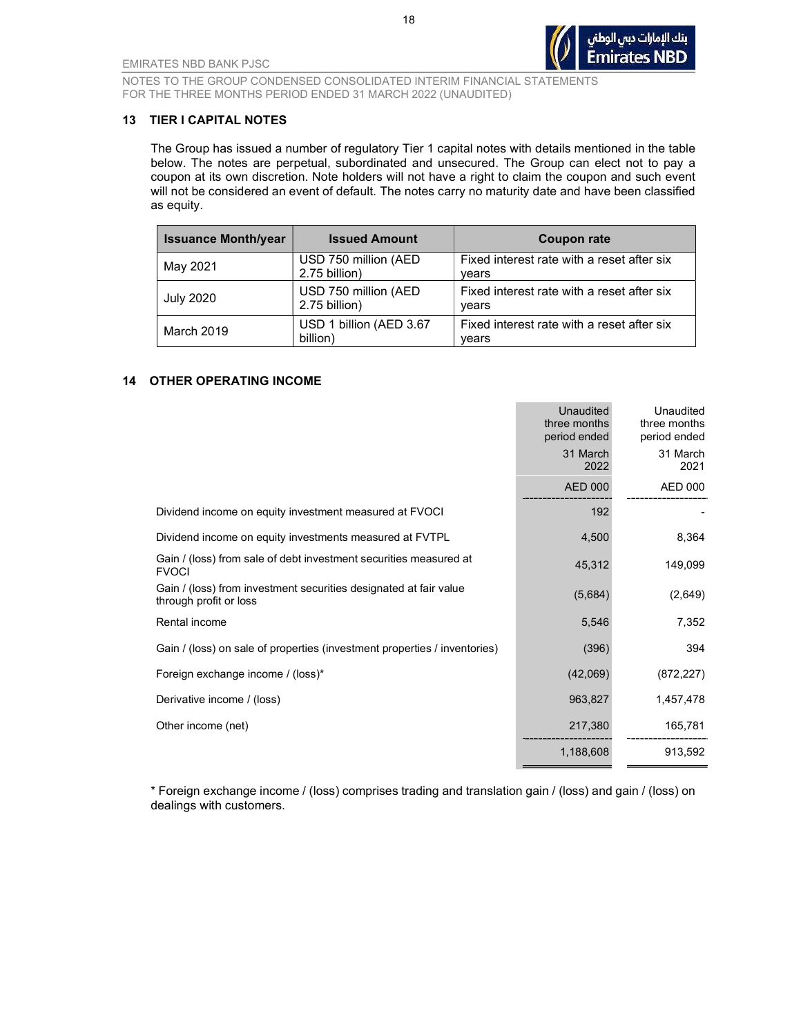

#### 13 TIER I CAPITAL NOTES

The Group has issued a number of regulatory Tier 1 capital notes with details mentioned in the table below. The notes are perpetual, subordinated and unsecured. The Group can elect not to pay a coupon at its own discretion. Note holders will not have a right to claim the coupon and such event will not be considered an event of default. The notes carry no maturity date and have been classified as equity.

| <b>Issuance Month/year</b> | <b>Issued Amount</b>                  | Coupon rate                                         |
|----------------------------|---------------------------------------|-----------------------------------------------------|
| May 2021                   | USD 750 million (AED<br>2.75 billion) | Fixed interest rate with a reset after six<br>vears |
| <b>July 2020</b>           | USD 750 million (AED<br>2.75 billion) | Fixed interest rate with a reset after six<br>years |
| March 2019                 | USD 1 billion (AED 3.67<br>billion)   | Fixed interest rate with a reset after six<br>vears |

#### 14 OTHER OPERATING INCOME

|                                                                                             | Unaudited<br>three months<br>period ended | Unaudited<br>three months<br>period ended |
|---------------------------------------------------------------------------------------------|-------------------------------------------|-------------------------------------------|
|                                                                                             | 31 March<br>2022                          | 31 March<br>2021                          |
|                                                                                             | <b>AED 000</b>                            | <b>AED 000</b>                            |
| Dividend income on equity investment measured at FVOCI                                      | 192                                       |                                           |
| Dividend income on equity investments measured at FVTPL                                     | 4,500                                     | 8,364                                     |
| Gain / (loss) from sale of debt investment securities measured at<br><b>FVOCI</b>           | 45,312                                    | 149,099                                   |
| Gain / (loss) from investment securities designated at fair value<br>through profit or loss | (5,684)                                   | (2,649)                                   |
| Rental income                                                                               | 5,546                                     | 7,352                                     |
| Gain / (loss) on sale of properties (investment properties / inventories)                   | (396)                                     | 394                                       |
| Foreign exchange income / (loss)*                                                           | (42,069)                                  | (872, 227)                                |
| Derivative income / (loss)                                                                  | 963,827                                   | 1,457,478                                 |
| Other income (net)                                                                          | 217,380                                   | 165,781                                   |
|                                                                                             | 1,188,608                                 | 913,592                                   |

\* Foreign exchange income / (loss) comprises trading and translation gain / (loss) and gain / (loss) on dealings with customers.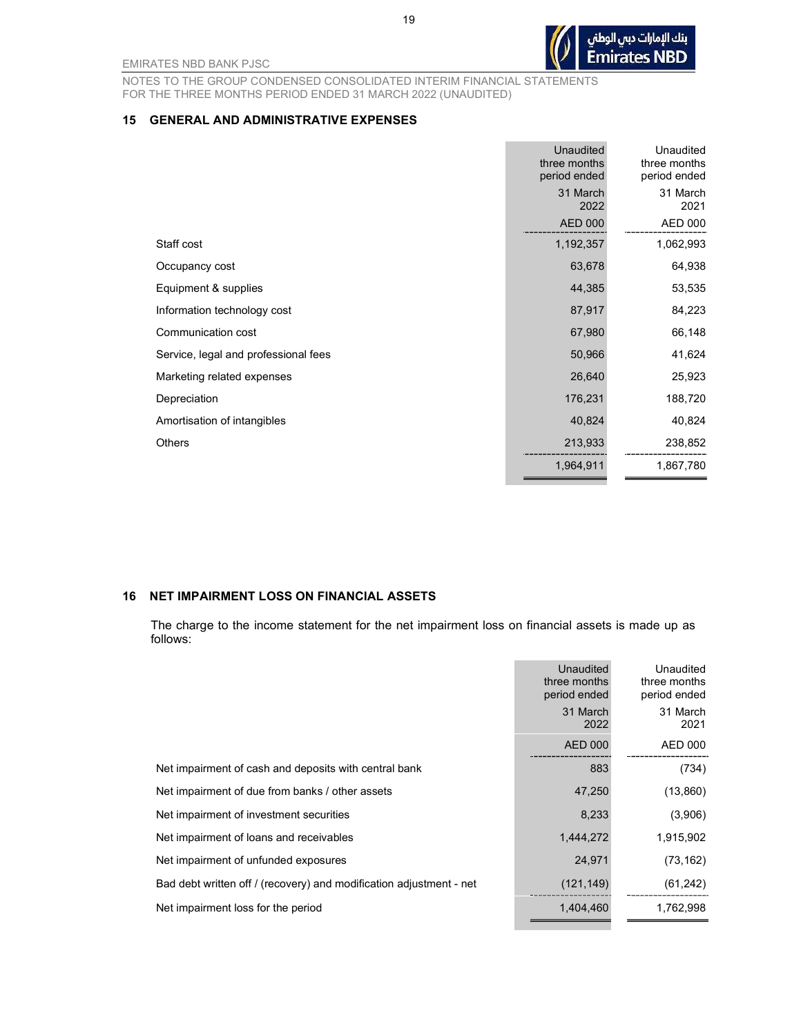NOTES TO THE GROUP CONDENSED CONSOLIDATED INTERIM FINANCIAL STATEMENTS FOR THE THREE MONTHS PERIOD ENDED 31 MARCH 2022 (UNAUDITED)

#### 15 GENERAL AND ADMINISTRATIVE EXPENSES

|                                      | Unaudited<br>three months<br>period ended | Unaudited<br>three months<br>period ended |
|--------------------------------------|-------------------------------------------|-------------------------------------------|
|                                      | 31 March<br>2022                          | 31 March<br>2021                          |
|                                      | <b>AED 000</b>                            | <b>AED 000</b>                            |
| Staff cost                           | 1,192,357                                 | 1,062,993                                 |
| Occupancy cost                       | 63,678                                    | 64,938                                    |
| Equipment & supplies                 | 44,385                                    | 53,535                                    |
| Information technology cost          | 87,917                                    | 84,223                                    |
| Communication cost                   | 67,980                                    | 66,148                                    |
| Service, legal and professional fees | 50,966                                    | 41,624                                    |
| Marketing related expenses           | 26,640                                    | 25,923                                    |
| Depreciation                         | 176,231                                   | 188,720                                   |
| Amortisation of intangibles          | 40,824                                    | 40,824                                    |
| <b>Others</b>                        | 213,933                                   | 238,852                                   |
|                                      | 1,964,911                                 | 1,867,780                                 |

#### 16 NET IMPAIRMENT LOSS ON FINANCIAL ASSETS

The charge to the income statement for the net impairment loss on financial assets is made up as follows:

|                                                                     | Unaudited<br>three months<br>period ended | Unaudited<br>three months<br>period ended |
|---------------------------------------------------------------------|-------------------------------------------|-------------------------------------------|
|                                                                     | 31 March<br>2022                          | 31 March<br>2021                          |
|                                                                     | <b>AED 000</b>                            | AED 000                                   |
| Net impairment of cash and deposits with central bank               | 883                                       | (734)                                     |
| Net impairment of due from banks / other assets                     | 47,250                                    | (13,860)                                  |
| Net impairment of investment securities                             | 8,233                                     | (3,906)                                   |
| Net impairment of loans and receivables                             | 1,444,272                                 | 1,915,902                                 |
| Net impairment of unfunded exposures                                | 24,971                                    | (73, 162)                                 |
| Bad debt written off / (recovery) and modification adjustment - net | (121, 149)                                | (61, 242)                                 |
| Net impairment loss for the period                                  | 1,404,460                                 | 1,762,998                                 |
|                                                                     |                                           |                                           |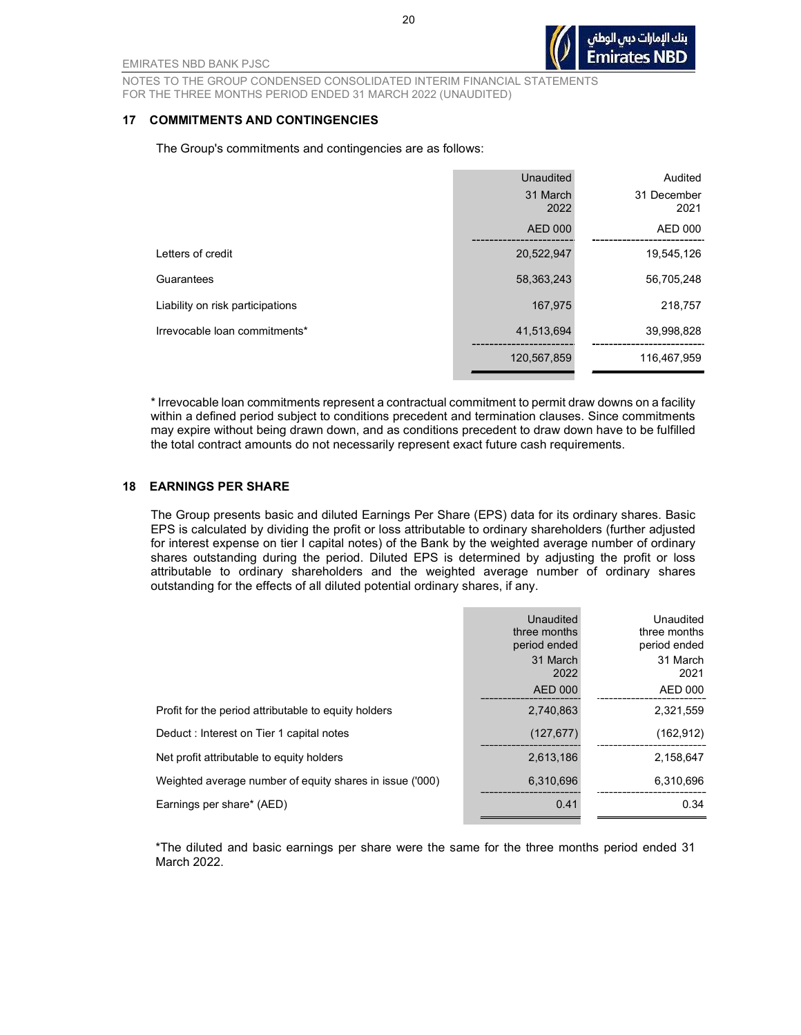NOTES TO THE GROUP CONDENSED CONSOLIDATED INTERIM FINANCIAL STATEMENTS FOR THE THREE MONTHS PERIOD ENDED 31 MARCH 2022 (UNAUDITED)

#### 17 COMMITMENTS AND CONTINGENCIES

The Group's commitments and contingencies are as follows:

|                                  | Unaudited        | Audited             |
|----------------------------------|------------------|---------------------|
|                                  | 31 March<br>2022 | 31 December<br>2021 |
|                                  | <b>AED 000</b>   | AED 000             |
| Letters of credit                | 20,522,947       | 19,545,126          |
| Guarantees                       | 58,363,243       | 56,705,248          |
| Liability on risk participations | 167,975          | 218,757             |
| Irrevocable loan commitments*    | 41,513,694       | 39,998,828          |
|                                  | 120,567,859      | 116,467,959         |

\* Irrevocable loan commitments represent a contractual commitment to permit draw downs on a facility within a defined period subject to conditions precedent and termination clauses. Since commitments may expire without being drawn down, and as conditions precedent to draw down have to be fulfilled the total contract amounts do not necessarily represent exact future cash requirements.

#### 18 EARNINGS PER SHARE

The Group presents basic and diluted Earnings Per Share (EPS) data for its ordinary shares. Basic EPS is calculated by dividing the profit or loss attributable to ordinary shareholders (further adjusted for interest expense on tier I capital notes) of the Bank by the weighted average number of ordinary shares outstanding during the period. Diluted EPS is determined by adjusting the profit or loss attributable to ordinary shareholders and the weighted average number of ordinary shares outstanding for the effects of all diluted potential ordinary shares, if any.

|                                                          | Unaudited<br>three months<br>period ended | Unaudited<br>three months<br>period ended |
|----------------------------------------------------------|-------------------------------------------|-------------------------------------------|
|                                                          | 31 March<br>2022                          | 31 March<br>2021                          |
|                                                          | <b>AED 000</b>                            | AED 000                                   |
| Profit for the period attributable to equity holders     | 2.740.863                                 | 2,321,559                                 |
| Deduct: Interest on Tier 1 capital notes                 | (127, 677)                                | (162, 912)                                |
| Net profit attributable to equity holders                | 2,613,186                                 | 2,158,647                                 |
| Weighted average number of equity shares in issue ('000) | 6,310,696                                 | 6,310,696                                 |
| Earnings per share* (AED)                                | 0.41                                      | 0.34                                      |

\*The diluted and basic earnings per share were the same for the three months period ended 31 March 2022.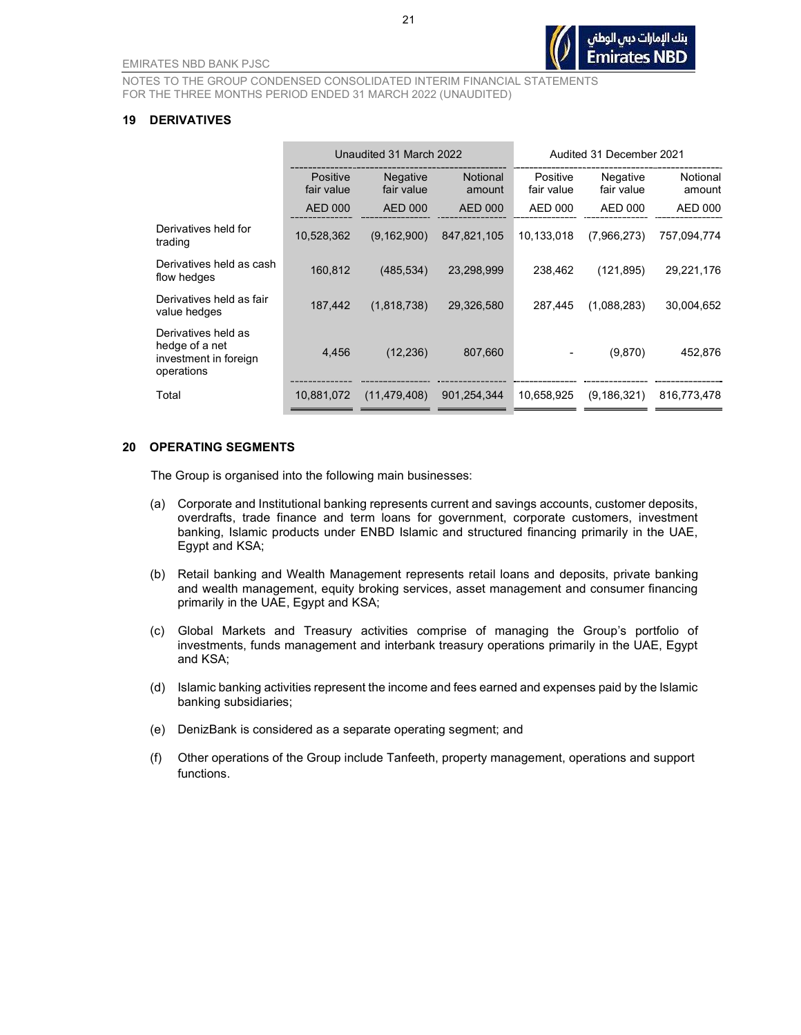#### 19 DERIVATIVES

|                                                                              | Unaudited 31 March 2022       |                               |                           |                        | Audited 31 December 2021 |                    |
|------------------------------------------------------------------------------|-------------------------------|-------------------------------|---------------------------|------------------------|--------------------------|--------------------|
|                                                                              | <b>Positive</b><br>fair value | <b>Negative</b><br>fair value | <b>Notional</b><br>amount | Positive<br>fair value | Negative<br>fair value   | Notional<br>amount |
|                                                                              | <b>AED 000</b>                | <b>AED 000</b>                | <b>AED 000</b>            | AED 000                | AED 000                  | AED 000            |
| Derivatives held for<br>trading                                              | 10,528,362                    | (9, 162, 900)                 | 847,821,105               | 10.133,018             | (7,966,273)              | 757,094,774        |
| Derivatives held as cash<br>flow hedges                                      | 160,812                       | (485, 534)                    | 23,298,999                | 238,462                | (121, 895)               | 29,221,176         |
| Derivatives held as fair<br>value hedges                                     | 187,442                       | (1,818,738)                   | 29,326,580                | 287,445                | (1,088,283)              | 30,004,652         |
| Derivatives held as<br>hedge of a net<br>investment in foreign<br>operations | 4,456                         | (12, 236)                     | 807,660                   |                        | (9,870)                  | 452,876            |
| Total                                                                        | 10,881,072                    | (11, 479, 408)                | 901,254,344               | 10.658,925             | (9, 186, 321)            | 816,773,478        |

#### 20 OPERATING SEGMENTS

The Group is organised into the following main businesses:

- (a) Corporate and Institutional banking represents current and savings accounts, customer deposits, overdrafts, trade finance and term loans for government, corporate customers, investment banking, Islamic products under ENBD Islamic and structured financing primarily in the UAE, Egypt and KSA;
- (b) Retail banking and Wealth Management represents retail loans and deposits, private banking and wealth management, equity broking services, asset management and consumer financing primarily in the UAE, Egypt and KSA;
- (c) Global Markets and Treasury activities comprise of managing the Group's portfolio of investments, funds management and interbank treasury operations primarily in the UAE, Egypt and KSA;
- (d) Islamic banking activities represent the income and fees earned and expenses paid by the Islamic banking subsidiaries;
- (e) DenizBank is considered as a separate operating segment; and
- (f) Other operations of the Group include Tanfeeth, property management, operations and support functions.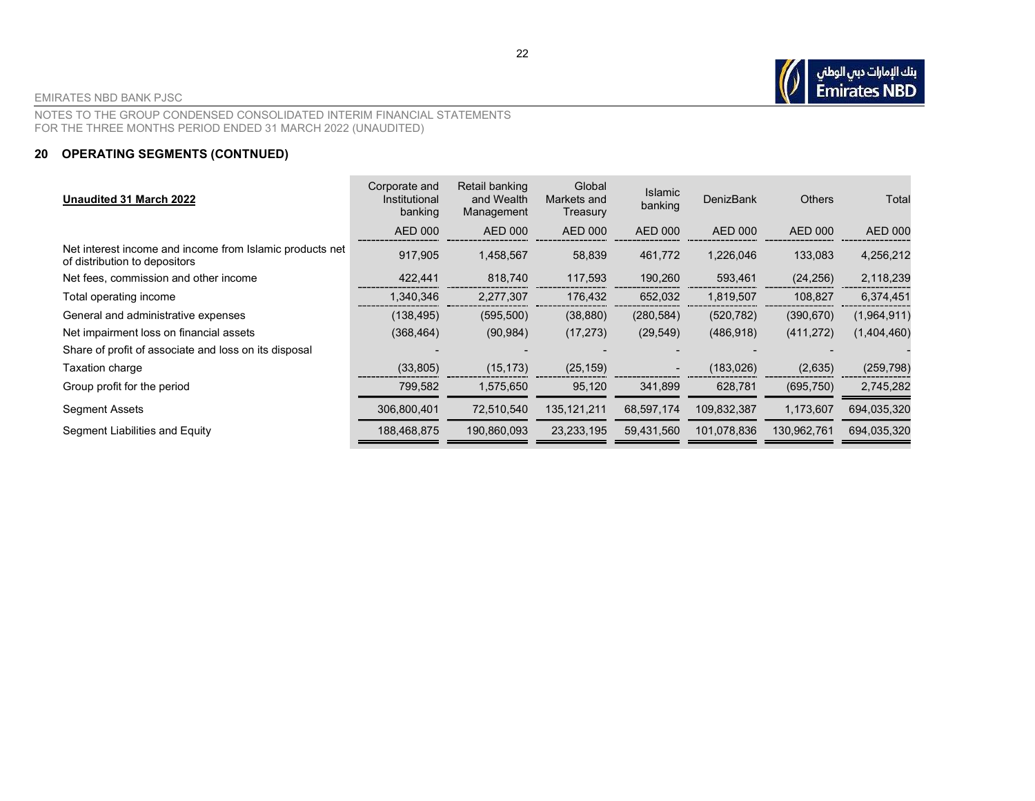NOTES TO THE GROUP CONDENSED CONSOLIDATED INTERIM FINANCIAL STATEMENTS FOR THE THREE MONTHS PERIOD ENDED 31 MARCH 2022 (UNAUDITED)

#### 20 OPERATING SEGMENTS (CONTNUED)

| Unaudited 31 March 2022                                                                   | Corporate and<br>Institutional<br>banking | Retail banking<br>and Wealth<br>Management | Global<br>Markets and<br>Treasury | <b>Islamic</b><br>banking | <b>DenizBank</b> | <b>Others</b>  | Total          |
|-------------------------------------------------------------------------------------------|-------------------------------------------|--------------------------------------------|-----------------------------------|---------------------------|------------------|----------------|----------------|
|                                                                                           | AED 000                                   | AED 000                                    | <b>AED 000</b>                    | AED 000                   | AED 000          | <b>AED 000</b> | <b>AED 000</b> |
| Net interest income and income from Islamic products net<br>of distribution to depositors | 917,905                                   | 1,458,567                                  | 58,839                            | 461,772                   | 1,226,046        | 133,083        | 4,256,212      |
| Net fees, commission and other income                                                     | 422,441                                   | 818,740                                    | 117,593                           | 190,260                   | 593,461          | (24, 256)      | 2,118,239      |
| Total operating income                                                                    | 1,340,346                                 | 2,277,307                                  | 176,432                           | 652,032                   | 1,819,507        | 108,827        | 6,374,451      |
| General and administrative expenses                                                       | (138, 495)                                | (595, 500)                                 | (38, 880)                         | (280, 584)                | (520, 782)       | (390, 670)     | (1,964,911)    |
| Net impairment loss on financial assets                                                   | (368, 464)                                | (90, 984)                                  | (17, 273)                         | (29, 549)                 | (486, 918)       | (411, 272)     | (1,404,460)    |
| Share of profit of associate and loss on its disposal                                     |                                           |                                            |                                   |                           |                  |                |                |
| Taxation charge                                                                           | (33, 805)                                 | (15, 173)                                  | (25, 159)                         | $\sim$                    | (183, 026)       | (2,635)        | (259, 798)     |
| Group profit for the period                                                               | 799,582                                   | 1,575,650                                  | 95,120                            | 341,899                   | 628,781          | (695, 750)     | 2,745,282      |
| Segment Assets                                                                            | 306,800,401                               | 72,510,540                                 | 135, 121, 211                     | 68,597,174                | 109,832,387      | 1,173,607      | 694,035,320    |
| Segment Liabilities and Equity                                                            | 188,468,875                               | 190,860,093                                | 23, 233, 195                      | 59,431,560                | 101,078,836      | 130,962,761    | 694,035,320    |

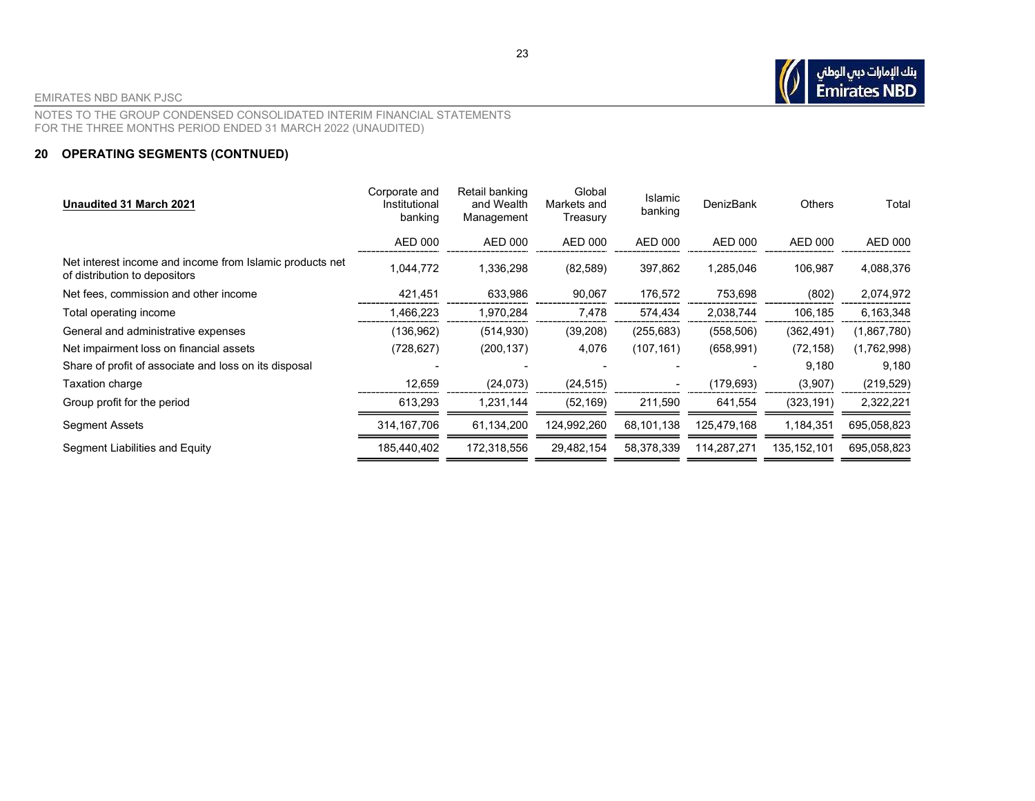# بنك الإمارات دبي الوطني<br>Emirates NBD

EMIRATES NBD BANK PJSC

NOTES TO THE GROUP CONDENSED CONSOLIDATED INTERIM FINANCIAL STATEMENTS FOR THE THREE MONTHS PERIOD ENDED 31 MARCH 2022 (UNAUDITED)

#### 20 OPERATING SEGMENTS (CONTNUED)

| Unaudited 31 March 2021                                                                   | Corporate and<br>Institutional<br>banking | Retail banking<br>and Wealth<br>Management | Global<br>Markets and<br>Treasury | Islamic<br>banking | DenizBank   | Others        | Total          |
|-------------------------------------------------------------------------------------------|-------------------------------------------|--------------------------------------------|-----------------------------------|--------------------|-------------|---------------|----------------|
|                                                                                           | AED 000                                   | <b>AED 000</b>                             | AED 000                           | AED 000            | AED 000     | AED 000       | <b>AED 000</b> |
| Net interest income and income from Islamic products net<br>of distribution to depositors | 1,044,772                                 | 1,336,298                                  | (82, 589)                         | 397,862            | 1,285,046   | 106,987       | 4,088,376      |
| Net fees, commission and other income                                                     | 421,451                                   | 633,986                                    | 90,067                            | 176,572            | 753,698     | (802)         | 2,074,972      |
| Total operating income                                                                    | 1,466,223                                 | 1,970,284                                  | 7,478                             | 574,434            | 2,038,744   | 106,185       | 6,163,348      |
| General and administrative expenses                                                       | (136, 962)                                | (514, 930)                                 | (39, 208)                         | (255, 683)         | (558, 506)  | (362, 491)    | (1,867,780)    |
| Net impairment loss on financial assets                                                   | (728, 627)                                | (200, 137)                                 | 4,076                             | (107, 161)         | (658, 991)  | (72, 158)     | (1,762,998)    |
| Share of profit of associate and loss on its disposal                                     |                                           |                                            |                                   |                    |             | 9,180         | 9,180          |
| Taxation charge                                                                           | 12,659                                    | (24, 073)                                  | (24, 515)                         |                    | (179, 693)  | (3,907)       | (219, 529)     |
| Group profit for the period                                                               | 613,293                                   | 1,231,144                                  | (52, 169)                         | 211,590            | 641,554     | (323, 191)    | 2,322,221      |
| Segment Assets                                                                            | 314, 167, 706                             | 61,134,200                                 | 124,992,260                       | 68,101,138         | 125,479,168 | 1,184,351     | 695,058,823    |
| Segment Liabilities and Equity                                                            | 185,440,402                               | 172,318,556                                | 29,482,154                        | 58,378,339         | 114,287,271 | 135, 152, 101 | 695,058,823    |
|                                                                                           |                                           |                                            |                                   |                    |             |               |                |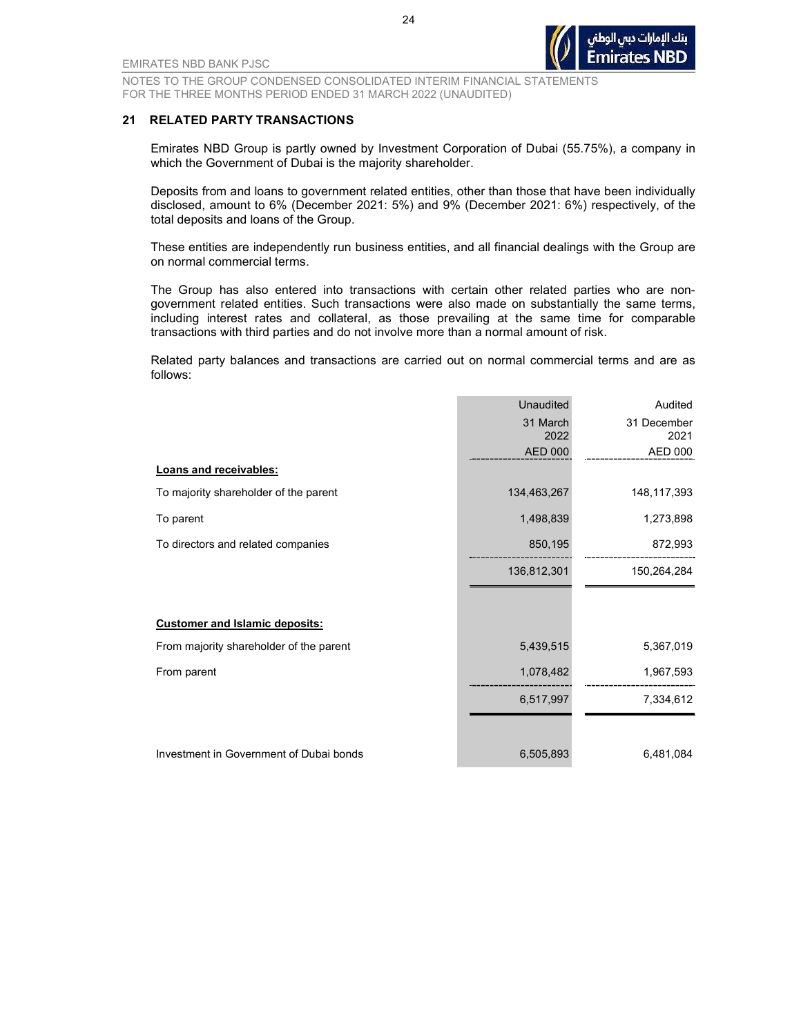

#### 21 RELATED PARTY TRANSACTIONS

Emirates NBD Group is partly owned by Investment Corporation of Dubai (55.75%), a company in which the Government of Dubai is the majority shareholder.

Deposits from and loans to government related entities, other than those that have been individually disclosed, amount to 6% (December 2021: 5%) and 9% (December 2021: 6%) respectively, of the total deposits and loans of the Group.

These entities are independently run business entities, and all financial dealings with the Group are on normal commercial terms.

The Group has also entered into transactions with certain other related parties who are nongovernment related entities. Such transactions were also made on substantially the same terms, including interest rates and collateral, as those prevailing at the same time for comparable transactions with third parties and do not involve more than a normal amount of risk.

Related party balances and transactions are carried out on normal commercial terms and are as follows:

|                                         | <b>Unaudited</b> | Audited             |
|-----------------------------------------|------------------|---------------------|
|                                         | 31 March<br>2022 | 31 December<br>2021 |
|                                         | AED 000          | AED 000             |
| Loans and receivables:                  |                  |                     |
| To majority shareholder of the parent   | 134,463,267      | 148, 117, 393       |
| To parent                               | 1,498,839        | 1,273,898           |
| To directors and related companies      | 850,195          | 872,993             |
|                                         | 136,812,301      | 150,264,284         |
|                                         |                  |                     |
| <b>Customer and Islamic deposits:</b>   |                  |                     |
| From majority shareholder of the parent | 5,439,515        | 5,367,019           |
| From parent                             | 1,078,482        | 1,967,593           |
|                                         | 6,517,997        | 7,334,612           |
|                                         |                  |                     |
| Investment in Government of Dubai bonds | 6,505,893        | 6,481,084           |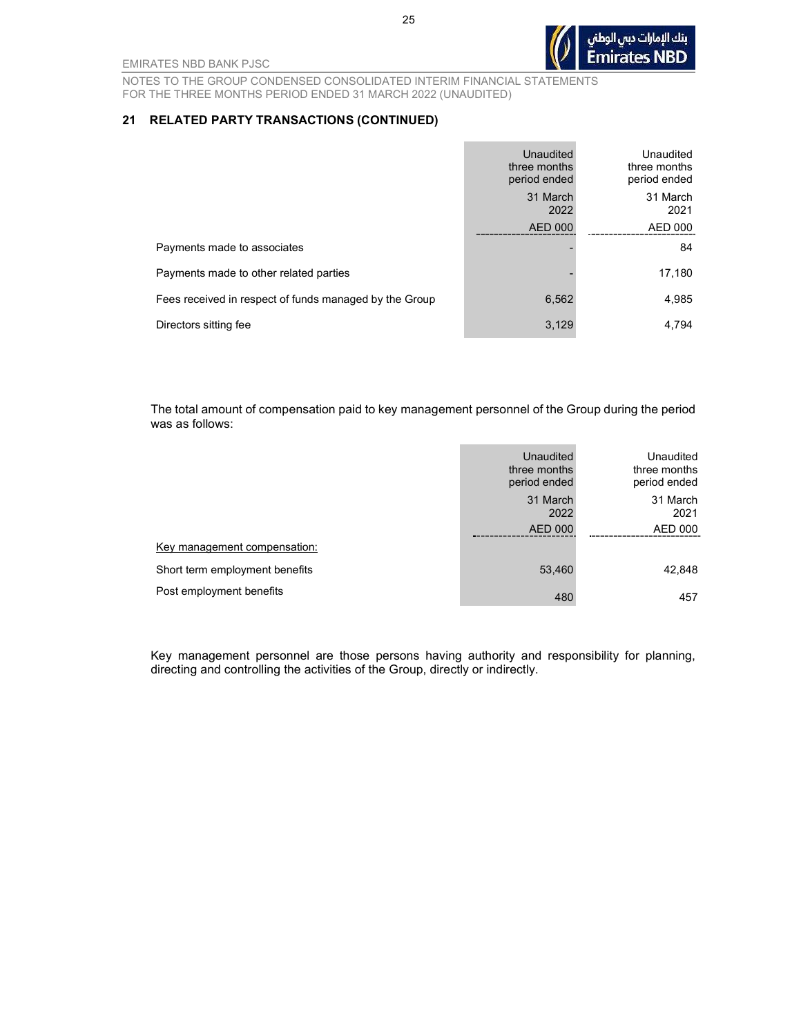بنك الإمارات دبى الوطنى **Emirates NBD** 

EMIRATES NBD BANK PJSC

NOTES TO THE GROUP CONDENSED CONSOLIDATED INTERIM FINANCIAL STATEMENTS FOR THE THREE MONTHS PERIOD ENDED 31 MARCH 2022 (UNAUDITED)

#### 21 RELATED PARTY TRANSACTIONS (CONTINUED)

|                                                        | Unaudited<br>three months<br>period ended | Unaudited<br>three months<br>period ended |
|--------------------------------------------------------|-------------------------------------------|-------------------------------------------|
|                                                        | 31 March<br>2022                          | 31 March<br>2021                          |
|                                                        | <b>AED 000</b>                            | AED 000                                   |
| Payments made to associates                            |                                           | 84                                        |
| Payments made to other related parties                 |                                           | 17,180                                    |
| Fees received in respect of funds managed by the Group | 6,562                                     | 4,985                                     |
| Directors sitting fee                                  | 3,129                                     | 4.794                                     |

The total amount of compensation paid to key management personnel of the Group during the period was as follows:

|                                | <b>Unaudited</b><br>three months<br>period ended | Unaudited<br>three months<br>period ended |
|--------------------------------|--------------------------------------------------|-------------------------------------------|
|                                | 31 March<br>2022                                 | 31 March<br>2021                          |
|                                | <b>AED 000</b>                                   | <b>AED 000</b>                            |
| Key management compensation:   |                                                  |                                           |
| Short term employment benefits | 53,460                                           | 42,848                                    |
| Post employment benefits       | 480                                              | 457                                       |

Key management personnel are those persons having authority and responsibility for planning, directing and controlling the activities of the Group, directly or indirectly.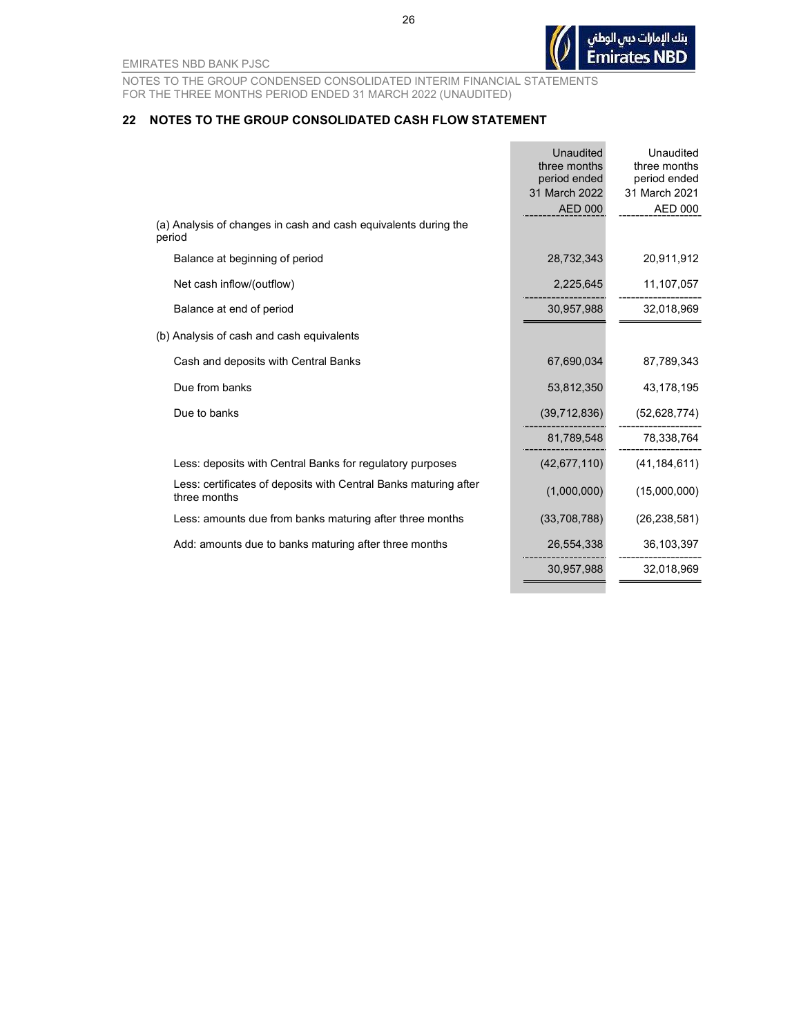

NOTES TO THE GROUP CONDENSED CONSOLIDATED INTERIM FINANCIAL STATEMENTS FOR THE THREE MONTHS PERIOD ENDED 31 MARCH 2022 (UNAUDITED)

#### 22 NOTES TO THE GROUP CONSOLIDATED CASH FLOW STATEMENT

|                                                                                  | Unaudited<br>three months<br>period ended | Unaudited<br>three months<br>period ended |
|----------------------------------------------------------------------------------|-------------------------------------------|-------------------------------------------|
|                                                                                  | 31 March 2022                             | 31 March 2021                             |
|                                                                                  | <b>AED 000</b>                            | <b>AED 000</b>                            |
| (a) Analysis of changes in cash and cash equivalents during the<br>period        |                                           |                                           |
| Balance at beginning of period                                                   | 28,732,343                                | 20,911,912                                |
| Net cash inflow/(outflow)                                                        | 2,225,645                                 | 11,107,057                                |
| Balance at end of period                                                         | 30,957,988                                | 32,018,969                                |
| (b) Analysis of cash and cash equivalents                                        |                                           |                                           |
| Cash and deposits with Central Banks                                             | 67,690,034                                | 87,789,343                                |
| Due from banks                                                                   | 53,812,350                                | 43,178,195                                |
| Due to banks                                                                     | (39, 712, 836)                            | (52, 628, 774)                            |
|                                                                                  | 81,789,548                                | 78,338,764                                |
| Less: deposits with Central Banks for regulatory purposes                        | (42, 677, 110)                            | (41, 184, 611)                            |
| Less: certificates of deposits with Central Banks maturing after<br>three months | (1,000,000)                               | (15,000,000)                              |
| Less: amounts due from banks maturing after three months                         | (33,708,788)                              | (26, 238, 581)                            |
| Add: amounts due to banks maturing after three months                            | 26,554,338                                | 36,103,397                                |
|                                                                                  | 30,957,988                                | 32,018,969                                |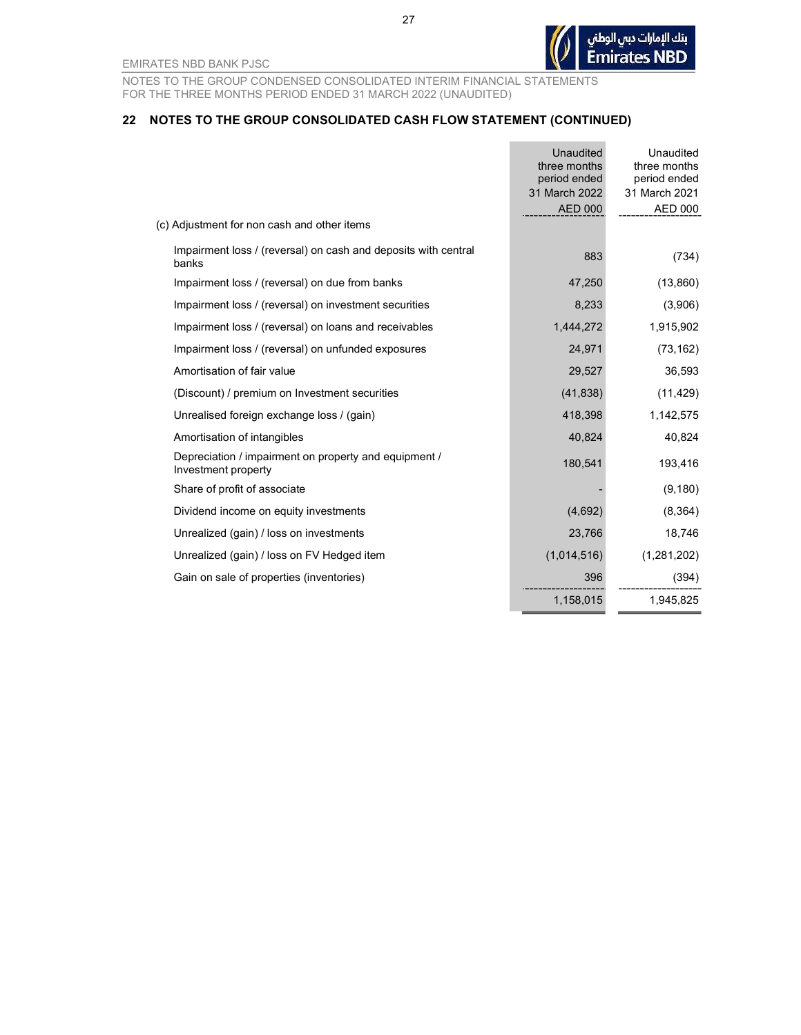27

EMIRATES NBD BANK PJSC

NOTES TO THE GROUP CONDENSED CONSOLIDATED INTERIM FINANCIAL STATEMENTS FOR THE THREE MONTHS PERIOD ENDED 31 MARCH 2022 (UNAUDITED)

#### 22 NOTES TO THE GROUP CONSOLIDATED CASH FLOW STATEMENT (CONTINUED)

|                                                                              | <b>Unaudited</b><br>three months<br>period ended | Unaudited<br>three months<br>period ended |
|------------------------------------------------------------------------------|--------------------------------------------------|-------------------------------------------|
|                                                                              | 31 March 2022<br><b>AED 000</b>                  | 31 March 2021<br><b>AED 000</b>           |
| (c) Adjustment for non cash and other items                                  |                                                  |                                           |
| Impairment loss / (reversal) on cash and deposits with central<br>banks      | 883                                              | (734)                                     |
| Impairment loss / (reversal) on due from banks                               | 47,250                                           | (13, 860)                                 |
| Impairment loss / (reversal) on investment securities                        | 8,233                                            | (3,906)                                   |
| Impairment loss / (reversal) on loans and receivables                        | 1,444,272                                        | 1,915,902                                 |
| Impairment loss / (reversal) on unfunded exposures                           | 24,971                                           | (73, 162)                                 |
| Amortisation of fair value                                                   | 29,527                                           | 36,593                                    |
| (Discount) / premium on Investment securities                                | (41, 838)                                        | (11, 429)                                 |
| Unrealised foreign exchange loss / (gain)                                    | 418,398                                          | 1,142,575                                 |
| Amortisation of intangibles                                                  | 40,824                                           | 40,824                                    |
| Depreciation / impairment on property and equipment /<br>Investment property | 180,541                                          | 193,416                                   |
| Share of profit of associate                                                 |                                                  | (9, 180)                                  |
| Dividend income on equity investments                                        | (4,692)                                          | (8, 364)                                  |
| Unrealized (gain) / loss on investments                                      | 23,766                                           | 18,746                                    |
| Unrealized (gain) / loss on FV Hedged item                                   | (1,014,516)                                      | (1,281,202)                               |
| Gain on sale of properties (inventories)                                     | 396                                              | (394)                                     |
|                                                                              | 1,158,015                                        | 1,945,825                                 |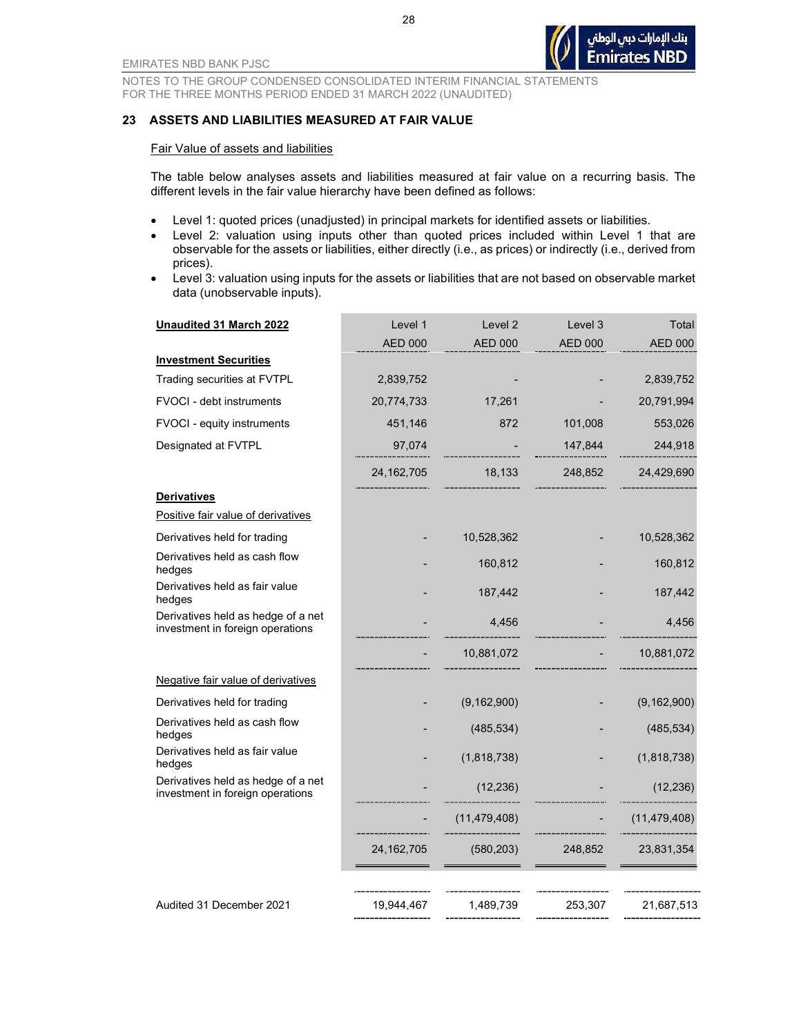#### 23 ASSETS AND LIABILITIES MEASURED AT FAIR VALUE

#### Fair Value of assets and liabilities

The table below analyses assets and liabilities measured at fair value on a recurring basis. The different levels in the fair value hierarchy have been defined as follows:

- Level 1: quoted prices (unadjusted) in principal markets for identified assets or liabilities.
- Level 2: valuation using inputs other than quoted prices included within Level 1 that are observable for the assets or liabilities, either directly (i.e., as prices) or indirectly (i.e., derived from prices).
- Level 3: valuation using inputs for the assets or liabilities that are not based on observable market data (unobservable inputs).

| <b>Unaudited 31 March 2022</b>                                         | Level 1        | Level 2        | Level 3        | Total          |
|------------------------------------------------------------------------|----------------|----------------|----------------|----------------|
|                                                                        | <b>AED 000</b> | <b>AED 000</b> | <b>AED 000</b> | <b>AED 000</b> |
| <b>Investment Securities</b>                                           |                |                |                |                |
| Trading securities at FVTPL                                            | 2,839,752      |                |                | 2,839,752      |
| <b>FVOCI</b> - debt instruments                                        | 20,774,733     | 17,261         |                | 20,791,994     |
| FVOCI - equity instruments                                             | 451,146        | 872            | 101,008        | 553,026        |
| Designated at FVTPL                                                    | 97,074         |                | 147,844        | 244,918        |
|                                                                        | 24, 162, 705   | 18,133         | 248,852        | 24,429,690     |
| <b>Derivatives</b>                                                     |                |                |                |                |
| Positive fair value of derivatives                                     |                |                |                |                |
| Derivatives held for trading                                           |                | 10,528,362     |                | 10,528,362     |
| Derivatives held as cash flow<br>hedges                                |                | 160,812        |                | 160,812        |
| Derivatives held as fair value<br>hedges                               |                | 187,442        |                | 187,442        |
| Derivatives held as hedge of a net<br>investment in foreign operations |                | 4,456          |                | 4,456          |
|                                                                        |                | 10,881,072     |                | 10,881,072     |
| Negative fair value of derivatives                                     |                |                |                |                |
| Derivatives held for trading                                           |                | (9, 162, 900)  |                | (9, 162, 900)  |
| Derivatives held as cash flow<br>hedges                                |                | (485, 534)     |                | (485, 534)     |
| Derivatives held as fair value<br>hedges                               |                | (1,818,738)    |                | (1,818,738)    |
| Derivatives held as hedge of a net<br>investment in foreign operations |                | (12, 236)      |                | (12, 236)      |
|                                                                        |                | (11, 479, 408) |                | (11, 479, 408) |
|                                                                        | 24, 162, 705   | (580, 203)     | 248,852        | 23,831,354     |
|                                                                        |                |                |                |                |
| Audited 31 December 2021                                               | 19,944,467     | 1,489,739      | 253,307        | 21,687,513     |

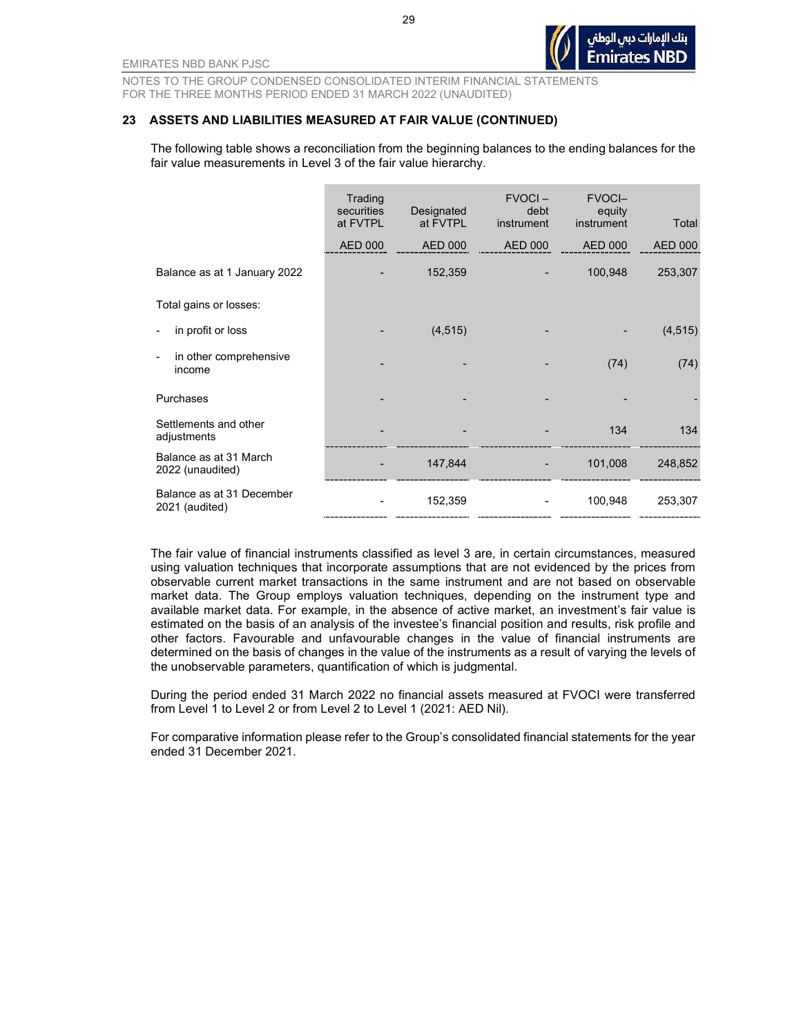#### 23 ASSETS AND LIABILITIES MEASURED AT FAIR VALUE (CONTINUED)

The following table shows a reconciliation from the beginning balances to the ending balances for the fair value measurements in Level 3 of the fair value hierarchy.

|                                             | Trading<br>securities<br>at FVTPL | Designated<br>at FVTPL | $FVOCI -$<br>debt<br>instrument | <b>FVOCI-</b><br>equity<br>instrument | Total          |
|---------------------------------------------|-----------------------------------|------------------------|---------------------------------|---------------------------------------|----------------|
|                                             | <b>AED 000</b>                    | <b>AED 000</b>         | <b>AED 000</b>                  | <b>AED 000</b>                        | <b>AED 000</b> |
| Balance as at 1 January 2022                |                                   | 152,359                |                                 | 100,948                               | 253,307        |
| Total gains or losses:                      |                                   |                        |                                 |                                       |                |
| in profit or loss                           |                                   | (4, 515)               |                                 |                                       | (4, 515)       |
| in other comprehensive<br>income            |                                   |                        |                                 | (74)                                  | (74)           |
| Purchases                                   |                                   |                        |                                 |                                       |                |
| Settlements and other<br>adjustments        |                                   |                        |                                 | 134                                   | 134            |
| Balance as at 31 March<br>2022 (unaudited)  |                                   | 147,844                |                                 | 101,008                               | 248,852        |
| Balance as at 31 December<br>2021 (audited) |                                   | 152,359                |                                 | 100,948                               | 253,307        |

The fair value of financial instruments classified as level 3 are, in certain circumstances, measured using valuation techniques that incorporate assumptions that are not evidenced by the prices from observable current market transactions in the same instrument and are not based on observable market data. The Group employs valuation techniques, depending on the instrument type and available market data. For example, in the absence of active market, an investment's fair value is estimated on the basis of an analysis of the investee's financial position and results, risk profile and other factors. Favourable and unfavourable changes in the value of financial instruments are determined on the basis of changes in the value of the instruments as a result of varying the levels of the unobservable parameters, quantification of which is judgmental.

During the period ended 31 March 2022 no financial assets measured at FVOCI were transferred from Level 1 to Level 2 or from Level 2 to Level 1 (2021: AED Nil).

For comparative information please refer to the Group's consolidated financial statements for the year ended 31 December 2021.

29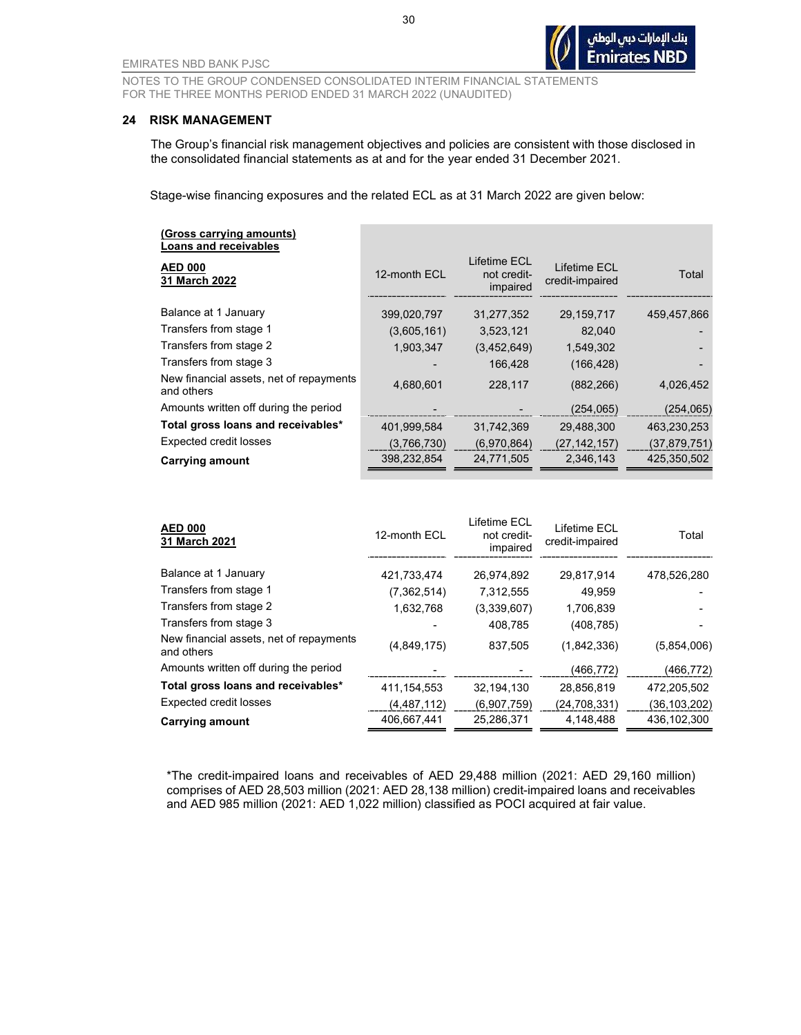#### 24 RISK MANAGEMENT

The Group's financial risk management objectives and policies are consistent with those disclosed in the consolidated financial statements as at and for the year ended 31 December 2021.

Stage-wise financing exposures and the related ECL as at 31 March 2022 are given below:

| (Gross carrying amounts)<br>Loans and receivables     |              |                                         |                                 |              |
|-------------------------------------------------------|--------------|-----------------------------------------|---------------------------------|--------------|
| <b>AED 000</b><br>31 March 2022                       | 12-month ECL | Lifetime ECL<br>not credit-<br>impaired | Lifetime ECL<br>credit-impaired | Total        |
| Balance at 1 January                                  | 399,020,797  | 31,277,352                              | 29,159,717                      | 459,457,866  |
| Transfers from stage 1                                | (3,605,161)  | 3,523,121                               | 82,040                          |              |
| Transfers from stage 2                                | 1,903,347    | (3,452,649)                             | 1,549,302                       |              |
| Transfers from stage 3                                |              | 166.428                                 | (166, 428)                      |              |
| New financial assets, net of repayments<br>and others | 4,680,601    | 228,117                                 | (882, 266)                      | 4,026,452    |
| Amounts written off during the period                 |              |                                         | (254,065)                       | (254, 065)   |
| Total gross loans and receivables*                    | 401,999,584  | 31,742,369                              | 29,488,300                      | 463,230,253  |
| <b>Expected credit losses</b>                         | (3,766,730)  | (6,970,864)                             | (27, 142, 157)                  | (37,879,751) |
| <b>Carrying amount</b>                                | 398,232,854  | 24,771,505                              | 2,346,143                       | 425,350,502  |

| <b>AED 000</b><br>31 March 2021                       | 12-month ECL  | Lifetime ECL<br>not credit-<br>impaired | Lifetime ECL<br>credit-impaired | Total          |
|-------------------------------------------------------|---------------|-----------------------------------------|---------------------------------|----------------|
| Balance at 1 January                                  | 421,733,474   | 26,974,892                              | 29,817,914                      | 478,526,280    |
| Transfers from stage 1                                | (7, 362, 514) | 7,312,555                               | 49,959                          |                |
| Transfers from stage 2                                | 1,632,768     | (3,339,607)                             | 1,706,839                       |                |
| Transfers from stage 3                                |               | 408,785                                 | (408, 785)                      |                |
| New financial assets, net of repayments<br>and others | (4, 849, 175) | 837,505                                 | (1,842,336)                     | (5,854,006)    |
| Amounts written off during the period                 |               |                                         | (466,772)                       | (466, 772)     |
| Total gross loans and receivables*                    | 411, 154, 553 | 32,194,130                              | 28,856,819                      | 472,205,502    |
| Expected credit losses                                | (4, 487, 112) | (6,907,759)                             | (24,708,331)                    | (36, 103, 202) |
| Carrying amount                                       | 406,667,441   | 25,286,371                              | 4,148,488                       | 436,102,300    |

\*The credit-impaired loans and receivables of AED 29,488 million (2021: AED 29,160 million) comprises of AED 28,503 million (2021: AED 28,138 million) credit-impaired loans and receivables and AED 985 million (2021: AED 1,022 million) classified as POCI acquired at fair value.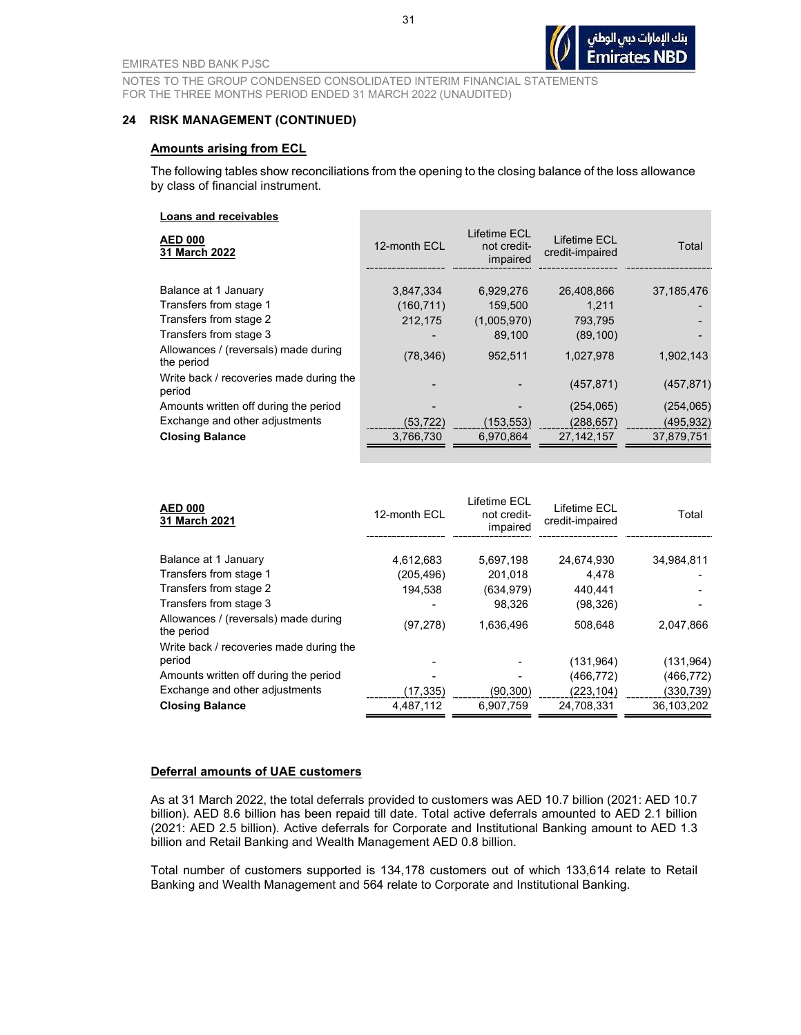#### 24 RISK MANAGEMENT (CONTINUED)

#### Amounts arising from ECL

The following tables show reconciliations from the opening to the closing balance of the loss allowance by class of financial instrument.

#### Loans and receivables

| <b>AED 000</b><br>31 March 2022                    | 12-month ECL | Lifetime ECI<br>not credit-<br>impaired | Lifetime ECL<br>credit-impaired | Total      |
|----------------------------------------------------|--------------|-----------------------------------------|---------------------------------|------------|
| Balance at 1 January                               | 3,847,334    | 6,929,276                               | 26,408,866                      | 37,185,476 |
| Transfers from stage 1                             | (160, 711)   | 159,500                                 | 1,211                           |            |
| Transfers from stage 2                             | 212,175      | (1,005,970)                             | 793.795                         |            |
| Transfers from stage 3                             |              | 89.100                                  | (89, 100)                       |            |
| Allowances / (reversals) made during<br>the period | (78, 346)    | 952,511                                 | 1,027,978                       | 1,902,143  |
| Write back / recoveries made during the<br>period  |              |                                         | (457, 871)                      | (457, 871) |
| Amounts written off during the period              |              |                                         | (254, 065)                      | (254,065)  |
| Exchange and other adjustments                     | (53, 722)    | (153, 553)                              | (288, 657)                      | (495, 932) |
| <b>Closing Balance</b>                             | 3.766.730    | 6.970.864                               | 27.142.157                      | 37,879,751 |
|                                                    |              |                                         |                                 |            |

| <b>AED 000</b><br>31 March 2021                    | 12-month ECL | Lifetime ECL<br>not credit-<br>impaired | Lifetime ECL<br>credit-impaired | Total      |
|----------------------------------------------------|--------------|-----------------------------------------|---------------------------------|------------|
| Balance at 1 January                               | 4,612,683    | 5,697,198                               | 24.674.930                      | 34,984,811 |
| Transfers from stage 1                             | (205, 496)   | 201,018                                 | 4,478                           |            |
| Transfers from stage 2                             | 194,538      | (634, 979)                              | 440.441                         |            |
| Transfers from stage 3                             |              | 98.326                                  | (98, 326)                       |            |
| Allowances / (reversals) made during<br>the period | (97, 278)    | 1.636.496                               | 508.648                         | 2,047,866  |
| Write back / recoveries made during the            |              |                                         |                                 |            |
| period                                             |              |                                         | (131, 964)                      | (131, 964) |
| Amounts written off during the period              |              |                                         | (466,772)                       | (466,772)  |
| Exchange and other adjustments                     | (17, 335)    | (90, 300)                               | (223, 104)                      | (330,739)  |
| <b>Closing Balance</b>                             | 4,487,112    | 6,907,759                               | 24.708.331                      | 36,103,202 |

#### Deferral amounts of UAE customers

As at 31 March 2022, the total deferrals provided to customers was AED 10.7 billion (2021: AED 10.7 billion). AED 8.6 billion has been repaid till date. Total active deferrals amounted to AED 2.1 billion (2021: AED 2.5 billion). Active deferrals for Corporate and Institutional Banking amount to AED 1.3 billion and Retail Banking and Wealth Management AED 0.8 billion.

Total number of customers supported is 134,178 customers out of which 133,614 relate to Retail Banking and Wealth Management and 564 relate to Corporate and Institutional Banking.